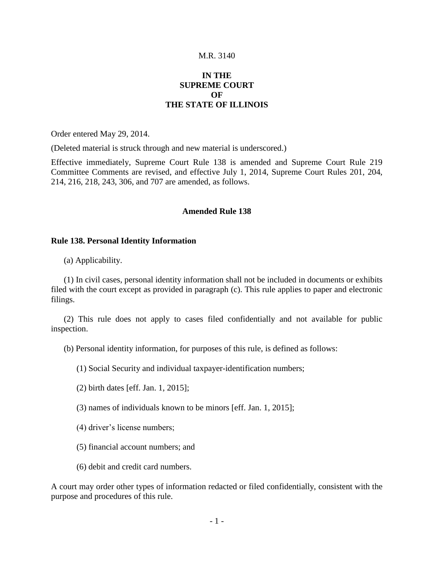#### M.R. 3140

### **IN THE SUPREME COURT OF THE STATE OF ILLINOIS**

Order entered May 29, 2014.

(Deleted material is struck through and new material is underscored.)

Effective immediately, Supreme Court Rule 138 is amended and Supreme Court Rule 219 Committee Comments are revised, and effective July 1, 2014, Supreme Court Rules 201, 204, 214, 216, 218, 243, 306, and 707 are amended, as follows.

#### **Amended Rule 138**

#### **Rule 138. Personal Identity Information**

(a) Applicability.

(1) In civil cases, personal identity information shall not be included in documents or exhibits filed with the court except as provided in paragraph (c). This rule applies to paper and electronic filings.

(2) This rule does not apply to cases filed confidentially and not available for public inspection.

(b) Personal identity information, for purposes of this rule, is defined as follows:

(1) Social Security and individual taxpayer-identification numbers;

(2) birth dates [eff. Jan. 1, 2015];

(3) names of individuals known to be minors [eff. Jan. 1, 2015];

(4) driver's license numbers;

(5) financial account numbers; and

(6) debit and credit card numbers.

A court may order other types of information redacted or filed confidentially, consistent with the purpose and procedures of this rule.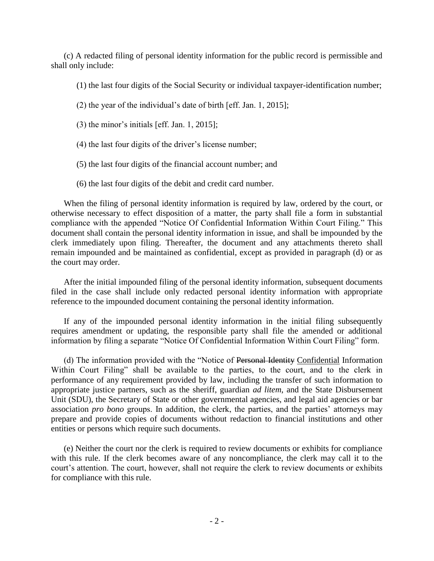(c) A redacted filing of personal identity information for the public record is permissible and shall only include:

(1) the last four digits of the Social Security or individual taxpayer-identification number;

- (2) the year of the individual's date of birth [eff. Jan. 1, 2015];
- (3) the minor's initials [eff. Jan. 1, 2015];
- (4) the last four digits of the driver's license number;
- (5) the last four digits of the financial account number; and
- (6) the last four digits of the debit and credit card number.

When the filing of personal identity information is required by law, ordered by the court, or otherwise necessary to effect disposition of a matter, the party shall file a form in substantial compliance with the appended "Notice Of Confidential Information Within Court Filing." This document shall contain the personal identity information in issue, and shall be impounded by the clerk immediately upon filing. Thereafter, the document and any attachments thereto shall remain impounded and be maintained as confidential, except as provided in paragraph (d) or as the court may order.

After the initial impounded filing of the personal identity information, subsequent documents filed in the case shall include only redacted personal identity information with appropriate reference to the impounded document containing the personal identity information.

If any of the impounded personal identity information in the initial filing subsequently requires amendment or updating, the responsible party shall file the amended or additional information by filing a separate "Notice Of Confidential Information Within Court Filing" form.

(d) The information provided with the "Notice of Personal Identity Confidential Information Within Court Filing" shall be available to the parties, to the court, and to the clerk in performance of any requirement provided by law, including the transfer of such information to appropriate justice partners, such as the sheriff, guardian *ad litem*, and the State Disbursement Unit (SDU), the Secretary of State or other governmental agencies, and legal aid agencies or bar association *pro bono* groups. In addition, the clerk, the parties, and the parties' attorneys may prepare and provide copies of documents without redaction to financial institutions and other entities or persons which require such documents.

(e) Neither the court nor the clerk is required to review documents or exhibits for compliance with this rule. If the clerk becomes aware of any noncompliance, the clerk may call it to the court's attention. The court, however, shall not require the clerk to review documents or exhibits for compliance with this rule.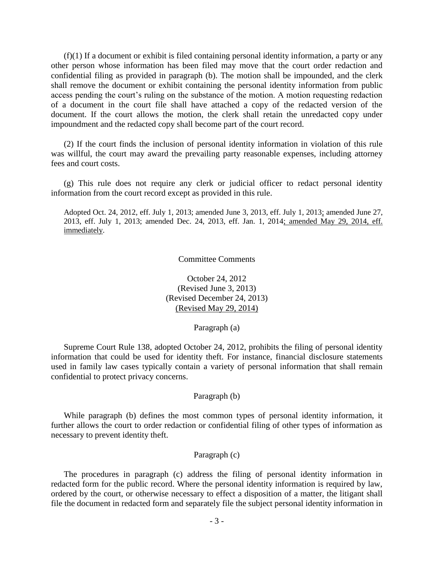$(f)(1)$  If a document or exhibit is filed containing personal identity information, a party or any other person whose information has been filed may move that the court order redaction and confidential filing as provided in paragraph (b). The motion shall be impounded, and the clerk shall remove the document or exhibit containing the personal identity information from public access pending the court's ruling on the substance of the motion. A motion requesting redaction of a document in the court file shall have attached a copy of the redacted version of the document. If the court allows the motion, the clerk shall retain the unredacted copy under impoundment and the redacted copy shall become part of the court record.

(2) If the court finds the inclusion of personal identity information in violation of this rule was willful, the court may award the prevailing party reasonable expenses, including attorney fees and court costs.

(g) This rule does not require any clerk or judicial officer to redact personal identity information from the court record except as provided in this rule.

Adopted Oct. 24, 2012, eff. July 1, 2013; amended June 3, 2013, eff. July 1, 2013; amended June 27, 2013, eff. July 1, 2013; amended Dec. 24, 2013, eff. Jan. 1, 2014; amended May 29, 2014, eff. immediately.

#### Committee Comments

October 24, 2012 (Revised June 3, 2013) (Revised December 24, 2013) (Revised May 29, 2014)

Paragraph (a)

Supreme Court Rule 138, adopted October 24, 2012, prohibits the filing of personal identity information that could be used for identity theft. For instance, financial disclosure statements used in family law cases typically contain a variety of personal information that shall remain confidential to protect privacy concerns.

#### Paragraph (b)

While paragraph (b) defines the most common types of personal identity information, it further allows the court to order redaction or confidential filing of other types of information as necessary to prevent identity theft.

### Paragraph (c)

The procedures in paragraph (c) address the filing of personal identity information in redacted form for the public record. Where the personal identity information is required by law, ordered by the court, or otherwise necessary to effect a disposition of a matter, the litigant shall file the document in redacted form and separately file the subject personal identity information in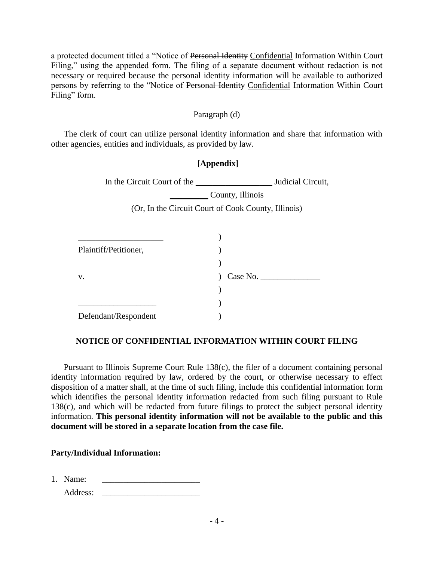a protected document titled a "Notice of Personal Identity Confidential Information Within Court Filing," using the appended form. The filing of a separate document without redaction is not necessary or required because the personal identity information will be available to authorized persons by referring to the "Notice of Personal Identity Confidential Information Within Court Filing" form.

### Paragraph (d)

The clerk of court can utilize personal identity information and share that information with other agencies, entities and individuals, as provided by law.

# **[Appendix]**

In the Circuit Court of the \_\_\_\_\_\_\_\_\_\_\_\_\_\_\_\_\_\_ Judicial Circuit,

\_\_\_\_\_\_\_\_\_ County, Illinois

(Or, In the Circuit Court of Cook County, Illinois)

| Plaintiff/Petitioner, |          |
|-----------------------|----------|
|                       |          |
| V.                    | Case No. |
|                       |          |
|                       |          |
| Defendant/Respondent  |          |

# **NOTICE OF CONFIDENTIAL INFORMATION WITHIN COURT FILING**

Pursuant to Illinois Supreme Court Rule 138(c), the filer of a document containing personal identity information required by law, ordered by the court, or otherwise necessary to effect disposition of a matter shall, at the time of such filing, include this confidential information form which identifies the personal identity information redacted from such filing pursuant to Rule 138(c), and which will be redacted from future filings to protect the subject personal identity information. **This personal identity information will not be available to the public and this document will be stored in a separate location from the case file.**

### **Party/Individual Information:**

1. Name: \_\_\_\_\_\_\_\_\_\_\_\_\_\_\_\_\_\_\_\_\_\_\_

Address: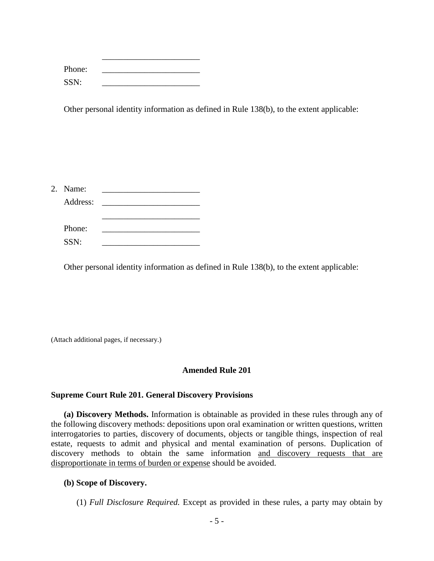| Phone: |  |
|--------|--|
| SSN:   |  |

Other personal identity information as defined in Rule 138(b), to the extent applicable:

| 2. Name: |  |
|----------|--|
| Address: |  |
|          |  |
| Phone:   |  |
| SSN:     |  |

Other personal identity information as defined in Rule 138(b), to the extent applicable:

(Attach additional pages, if necessary.)

### **Amended Rule 201**

#### **Supreme Court Rule 201. General Discovery Provisions**

**(a) Discovery Methods.** Information is obtainable as provided in these rules through any of the following discovery methods: depositions upon oral examination or written questions, written interrogatories to parties, discovery of documents, objects or tangible things, inspection of real estate, requests to admit and physical and mental examination of persons. Duplication of discovery methods to obtain the same information and discovery requests that are disproportionate in terms of burden or expense should be avoided.

#### **(b) Scope of Discovery.**

(1) *Full Disclosure Required.* Except as provided in these rules, a party may obtain by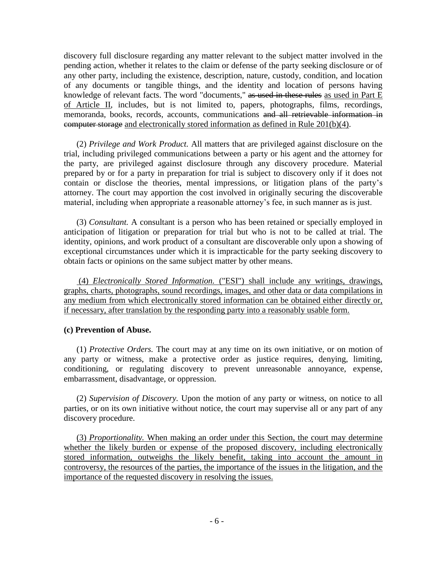discovery full disclosure regarding any matter relevant to the subject matter involved in the pending action, whether it relates to the claim or defense of the party seeking disclosure or of any other party, including the existence, description, nature, custody, condition, and location of any documents or tangible things, and the identity and location of persons having knowledge of relevant facts. The word "documents," as used in these rules as used in Part E of Article II, includes, but is not limited to, papers, photographs, films, recordings, memoranda, books, records, accounts, communications and all retrievable information in computer storage and electronically stored information as defined in Rule 201(b)(4).

(2) *Privilege and Work Product.* All matters that are privileged against disclosure on the trial, including privileged communications between a party or his agent and the attorney for the party, are privileged against disclosure through any discovery procedure. Material prepared by or for a party in preparation for trial is subject to discovery only if it does not contain or disclose the theories, mental impressions, or litigation plans of the party's attorney. The court may apportion the cost involved in originally securing the discoverable material, including when appropriate a reasonable attorney's fee, in such manner as is just.

(3) *Consultant.* A consultant is a person who has been retained or specially employed in anticipation of litigation or preparation for trial but who is not to be called at trial. The identity, opinions, and work product of a consultant are discoverable only upon a showing of exceptional circumstances under which it is impracticable for the party seeking discovery to obtain facts or opinions on the same subject matter by other means.

(4) *Electronically Stored Information.* ("ESI") shall include any writings, drawings, graphs, charts, photographs, sound recordings, images, and other data or data compilations in any medium from which electronically stored information can be obtained either directly or, if necessary, after translation by the responding party into a reasonably usable form.

### **(c) Prevention of Abuse.**

(1) *Protective Orders.* The court may at any time on its own initiative, or on motion of any party or witness, make a protective order as justice requires, denying, limiting, conditioning, or regulating discovery to prevent unreasonable annoyance, expense, embarrassment, disadvantage, or oppression.

(2) *Supervision of Discovery.* Upon the motion of any party or witness, on notice to all parties, or on its own initiative without notice, the court may supervise all or any part of any discovery procedure.

(3) *Proportionality.* When making an order under this Section, the court may determine whether the likely burden or expense of the proposed discovery, including electronically stored information, outweighs the likely benefit, taking into account the amount in controversy, the resources of the parties, the importance of the issues in the litigation, and the importance of the requested discovery in resolving the issues.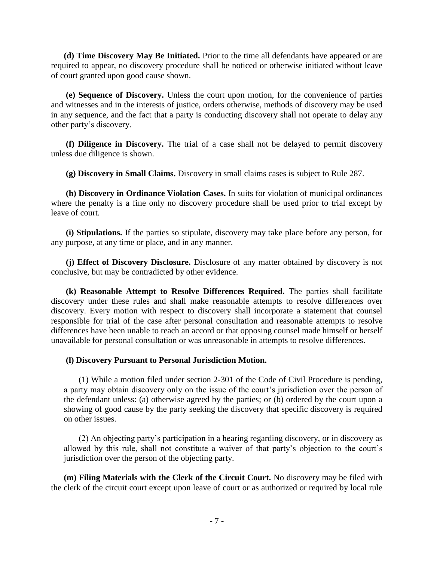**(d) Time Discovery May Be Initiated.** Prior to the time all defendants have appeared or are required to appear, no discovery procedure shall be noticed or otherwise initiated without leave of court granted upon good cause shown.

 **(e) Sequence of Discovery.** Unless the court upon motion, for the convenience of parties and witnesses and in the interests of justice, orders otherwise, methods of discovery may be used in any sequence, and the fact that a party is conducting discovery shall not operate to delay any other party's discovery.

 **(f) Diligence in Discovery.** The trial of a case shall not be delayed to permit discovery unless due diligence is shown.

**(g) Discovery in Small Claims.** Discovery in small claims cases is subject to Rule 287.

 **(h) Discovery in Ordinance Violation Cases.** In suits for violation of municipal ordinances where the penalty is a fine only no discovery procedure shall be used prior to trial except by leave of court.

 **(i) Stipulations.** If the parties so stipulate, discovery may take place before any person, for any purpose, at any time or place, and in any manner.

 **(j) Effect of Discovery Disclosure.** Disclosure of any matter obtained by discovery is not conclusive, but may be contradicted by other evidence.

 **(k) Reasonable Attempt to Resolve Differences Required.** The parties shall facilitate discovery under these rules and shall make reasonable attempts to resolve differences over discovery. Every motion with respect to discovery shall incorporate a statement that counsel responsible for trial of the case after personal consultation and reasonable attempts to resolve differences have been unable to reach an accord or that opposing counsel made himself or herself unavailable for personal consultation or was unreasonable in attempts to resolve differences.

### **(l) Discovery Pursuant to Personal Jurisdiction Motion.**

 (1) While a motion filed under section 2-301 of the Code of Civil Procedure is pending, a party may obtain discovery only on the issue of the court's jurisdiction over the person of the defendant unless: (a) otherwise agreed by the parties; or (b) ordered by the court upon a showing of good cause by the party seeking the discovery that specific discovery is required on other issues.

 (2) An objecting party's participation in a hearing regarding discovery, or in discovery as allowed by this rule, shall not constitute a waiver of that party's objection to the court's jurisdiction over the person of the objecting party.

**(m) Filing Materials with the Clerk of the Circuit Court.** No discovery may be filed with the clerk of the circuit court except upon leave of court or as authorized or required by local rule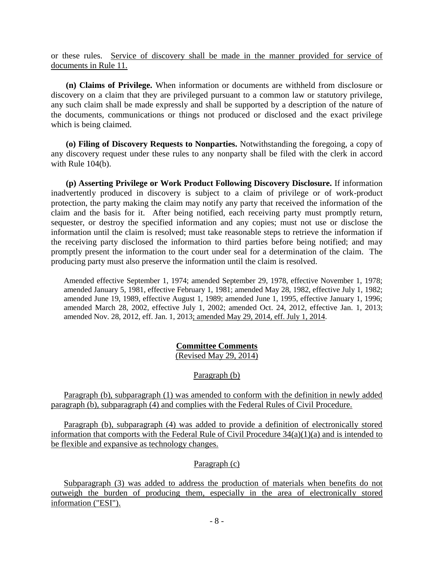or these rules. Service of discovery shall be made in the manner provided for service of documents in Rule 11.

**(n) Claims of Privilege.** When information or documents are withheld from disclosure or discovery on a claim that they are privileged pursuant to a common law or statutory privilege, any such claim shall be made expressly and shall be supported by a description of the nature of the documents, communications or things not produced or disclosed and the exact privilege which is being claimed.

 **(o) Filing of Discovery Requests to Nonparties.** Notwithstanding the foregoing, a copy of any discovery request under these rules to any nonparty shall be filed with the clerk in accord with Rule 104(b).

**(p) Asserting Privilege or Work Product Following Discovery Disclosure.** If information inadvertently produced in discovery is subject to a claim of privilege or of work-product protection, the party making the claim may notify any party that received the information of the claim and the basis for it. After being notified, each receiving party must promptly return, sequester, or destroy the specified information and any copies; must not use or disclose the information until the claim is resolved; must take reasonable steps to retrieve the information if the receiving party disclosed the information to third parties before being notified; and may promptly present the information to the court under seal for a determination of the claim. The producing party must also preserve the information until the claim is resolved.

Amended effective September 1, 1974; amended September 29, 1978, effective November 1, 1978; amended January 5, 1981, effective February 1, 1981; amended May 28, 1982, effective July 1, 1982; amended June 19, 1989, effective August 1, 1989; amended June 1, 1995, effective January 1, 1996; amended March 28, 2002, effective July 1, 2002; amended Oct. 24, 2012, effective Jan. 1, 2013; amended Nov. 28, 2012, eff. Jan. 1, 2013; amended May 29, 2014, eff. July 1, 2014.

## **Committee Comments** (Revised May 29, 2014)

# Paragraph (b)

Paragraph (b), subparagraph (1) was amended to conform with the definition in newly added paragraph (b), subparagraph (4) and complies with the Federal Rules of Civil Procedure.

Paragraph (b), subparagraph (4) was added to provide a definition of electronically stored information that comports with the Federal Rule of Civil Procedure 34(a)(1)(a) and is intended to be flexible and expansive as technology changes.

# Paragraph (c)

Subparagraph (3) was added to address the production of materials when benefits do not outweigh the burden of producing them, especially in the area of electronically stored information ("ESI").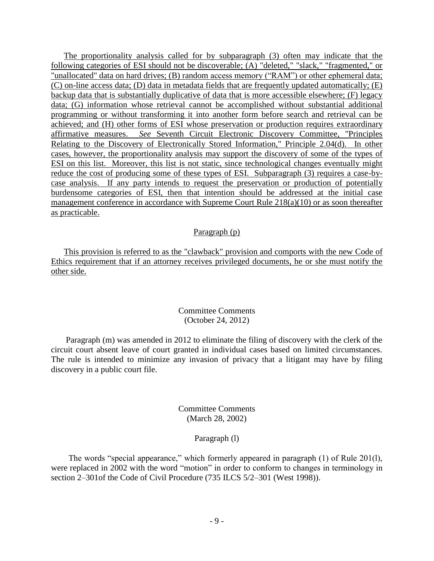The proportionality analysis called for by subparagraph (3) often may indicate that the following categories of ESI should not be discoverable; (A) "deleted," "slack," "fragmented," or "unallocated" data on hard drives; (B) random access memory ("RAM") or other ephemeral data; (C) on-line access data; (D) data in metadata fields that are frequently updated automatically; (E) backup data that is substantially duplicative of data that is more accessible elsewhere; (F) legacy data; (G) information whose retrieval cannot be accomplished without substantial additional programming or without transforming it into another form before search and retrieval can be achieved; and (H) other forms of ESI whose preservation or production requires extraordinary affirmative measures. *See* Seventh Circuit Electronic Discovery Committee, "Principles Relating to the Discovery of Electronically Stored Information," Principle 2.04(d). In other cases, however, the proportionality analysis may support the discovery of some of the types of ESI on this list. Moreover, this list is not static, since technological changes eventually might reduce the cost of producing some of these types of ESI. Subparagraph (3) requires a case-bycase analysis. If any party intends to request the preservation or production of potentially burdensome categories of ESI, then that intention should be addressed at the initial case management conference in accordance with Supreme Court Rule 218(a)(10) or as soon thereafter as practicable.

# Paragraph (p)

This provision is referred to as the "clawback" provision and comports with the new Code of Ethics requirement that if an attorney receives privileged documents, he or she must notify the other side.

### Committee Comments (October 24, 2012)

 Paragraph (m) was amended in 2012 to eliminate the filing of discovery with the clerk of the circuit court absent leave of court granted in individual cases based on limited circumstances. The rule is intended to minimize any invasion of privacy that a litigant may have by filing discovery in a public court file.

### Committee Comments (March 28, 2002)

# Paragraph (l)

 The words "special appearance," which formerly appeared in paragraph (1) of Rule 201(l), were replaced in 2002 with the word "motion" in order to conform to changes in terminology in section 2–301of the Code of Civil Procedure (735 ILCS 5/2–301 (West 1998)).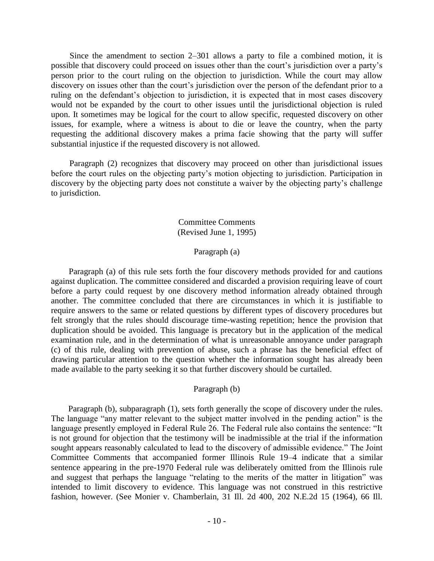Since the amendment to section 2–301 allows a party to file a combined motion, it is possible that discovery could proceed on issues other than the court's jurisdiction over a party's person prior to the court ruling on the objection to jurisdiction. While the court may allow discovery on issues other than the court's jurisdiction over the person of the defendant prior to a ruling on the defendant's objection to jurisdiction, it is expected that in most cases discovery would not be expanded by the court to other issues until the jurisdictional objection is ruled upon. It sometimes may be logical for the court to allow specific, requested discovery on other issues, for example, where a witness is about to die or leave the country, when the party requesting the additional discovery makes a prima facie showing that the party will suffer substantial injustice if the requested discovery is not allowed.

 Paragraph (2) recognizes that discovery may proceed on other than jurisdictional issues before the court rules on the objecting party's motion objecting to jurisdiction. Participation in discovery by the objecting party does not constitute a waiver by the objecting party's challenge to jurisdiction.

### Committee Comments (Revised June 1, 1995)

### Paragraph (a)

 Paragraph (a) of this rule sets forth the four discovery methods provided for and cautions against duplication. The committee considered and discarded a provision requiring leave of court before a party could request by one discovery method information already obtained through another. The committee concluded that there are circumstances in which it is justifiable to require answers to the same or related questions by different types of discovery procedures but felt strongly that the rules should discourage time-wasting repetition; hence the provision that duplication should be avoided. This language is precatory but in the application of the medical examination rule, and in the determination of what is unreasonable annoyance under paragraph (c) of this rule, dealing with prevention of abuse, such a phrase has the beneficial effect of drawing particular attention to the question whether the information sought has already been made available to the party seeking it so that further discovery should be curtailed.

#### Paragraph (b)

 Paragraph (b), subparagraph (1), sets forth generally the scope of discovery under the rules. The language "any matter relevant to the subject matter involved in the pending action" is the language presently employed in Federal Rule 26. The Federal rule also contains the sentence: "It is not ground for objection that the testimony will be inadmissible at the trial if the information sought appears reasonably calculated to lead to the discovery of admissible evidence." The Joint Committee Comments that accompanied former Illinois Rule 19–4 indicate that a similar sentence appearing in the pre-1970 Federal rule was deliberately omitted from the Illinois rule and suggest that perhaps the language "relating to the merits of the matter in litigation" was intended to limit discovery to evidence. This language was not construed in this restrictive fashion, however. (See Monier v. Chamberlain, 31 Ill. 2d 400, 202 N.E.2d 15 (1964), 66 Ill.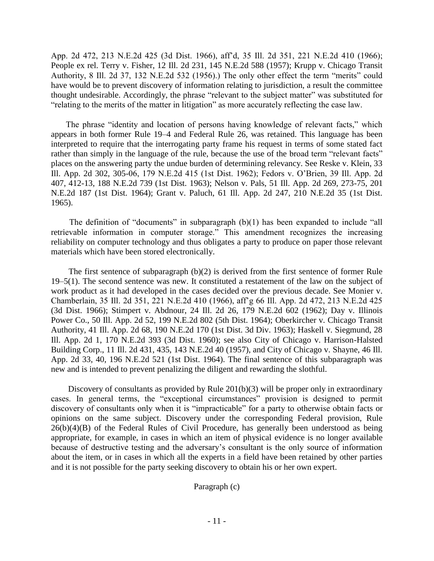App. 2d 472, 213 N.E.2d 425 (3d Dist. 1966), aff'd, 35 Ill. 2d 351, 221 N.E.2d 410 (1966); People ex rel. Terry v. Fisher, 12 Ill. 2d 231, 145 N.E.2d 588 (1957); Krupp v. Chicago Transit Authority, 8 Ill. 2d 37, 132 N.E.2d 532 (1956).) The only other effect the term "merits" could have would be to prevent discovery of information relating to jurisdiction, a result the committee thought undesirable. Accordingly, the phrase "relevant to the subject matter" was substituted for "relating to the merits of the matter in litigation" as more accurately reflecting the case law.

 The phrase "identity and location of persons having knowledge of relevant facts," which appears in both former Rule 19–4 and Federal Rule 26, was retained. This language has been interpreted to require that the interrogating party frame his request in terms of some stated fact rather than simply in the language of the rule, because the use of the broad term "relevant facts" places on the answering party the undue burden of determining relevancy. See Reske v. Klein, 33 Ill. App. 2d 302, 305-06, 179 N.E.2d 415 (1st Dist. 1962); Fedors v. O'Brien, 39 Ill. App. 2d 407, 412-13, 188 N.E.2d 739 (1st Dist. 1963); Nelson v. Pals, 51 Ill. App. 2d 269, 273-75, 201 N.E.2d 187 (1st Dist. 1964); Grant v. Paluch, 61 Ill. App. 2d 247, 210 N.E.2d 35 (1st Dist. 1965).

The definition of "documents" in subparagraph (b)(1) has been expanded to include "all retrievable information in computer storage." This amendment recognizes the increasing reliability on computer technology and thus obligates a party to produce on paper those relevant materials which have been stored electronically.

 The first sentence of subparagraph (b)(2) is derived from the first sentence of former Rule 19–5(1). The second sentence was new. It constituted a restatement of the law on the subject of work product as it had developed in the cases decided over the previous decade. See Monier v. Chamberlain, 35 Ill. 2d 351, 221 N.E.2d 410 (1966), aff'g 66 Ill. App. 2d 472, 213 N.E.2d 425 (3d Dist. 1966); Stimpert v. Abdnour, 24 Ill. 2d 26, 179 N.E.2d 602 (1962); Day v. Illinois Power Co., 50 Ill. App. 2d 52, 199 N.E.2d 802 (5th Dist. 1964); Oberkircher v. Chicago Transit Authority, 41 Ill. App. 2d 68, 190 N.E.2d 170 (1st Dist. 3d Div. 1963); Haskell v. Siegmund, 28 Ill. App. 2d 1, 170 N.E.2d 393 (3d Dist. 1960); see also City of Chicago v. Harrison-Halsted Building Corp., 11 Ill. 2d 431, 435, 143 N.E.2d 40 (1957), and City of Chicago v. Shayne, 46 Ill. App. 2d 33, 40, 196 N.E.2d 521 (1st Dist. 1964). The final sentence of this subparagraph was new and is intended to prevent penalizing the diligent and rewarding the slothful.

Discovery of consultants as provided by Rule 201(b)(3) will be proper only in extraordinary cases. In general terms, the "exceptional circumstances" provision is designed to permit discovery of consultants only when it is "impracticable" for a party to otherwise obtain facts or opinions on the same subject. Discovery under the corresponding Federal provision, Rule  $26(b)(4)(B)$  of the Federal Rules of Civil Procedure, has generally been understood as being appropriate, for example, in cases in which an item of physical evidence is no longer available because of destructive testing and the adversary's consultant is the only source of information about the item, or in cases in which all the experts in a field have been retained by other parties and it is not possible for the party seeking discovery to obtain his or her own expert.

Paragraph (c)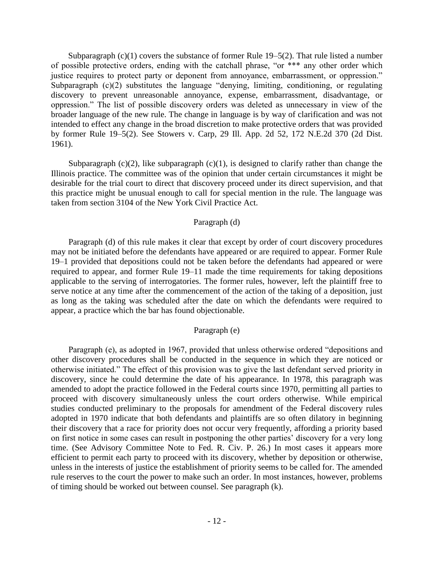Subparagraph  $(c)(1)$  covers the substance of former Rule 19–5(2). That rule listed a number of possible protective orders, ending with the catchall phrase, "or \*\*\* any other order which justice requires to protect party or deponent from annoyance, embarrassment, or oppression." Subparagraph (c)(2) substitutes the language "denying, limiting, conditioning, or regulating discovery to prevent unreasonable annoyance, expense, embarrassment, disadvantage, or oppression." The list of possible discovery orders was deleted as unnecessary in view of the broader language of the new rule. The change in language is by way of clarification and was not intended to effect any change in the broad discretion to make protective orders that was provided by former Rule 19–5(2). See Stowers v. Carp, 29 Ill. App. 2d 52, 172 N.E.2d 370 (2d Dist. 1961).

Subparagraph  $(c)(2)$ , like subparagraph  $(c)(1)$ , is designed to clarify rather than change the Illinois practice. The committee was of the opinion that under certain circumstances it might be desirable for the trial court to direct that discovery proceed under its direct supervision, and that this practice might be unusual enough to call for special mention in the rule. The language was taken from section 3104 of the New York Civil Practice Act.

#### Paragraph (d)

 Paragraph (d) of this rule makes it clear that except by order of court discovery procedures may not be initiated before the defendants have appeared or are required to appear. Former Rule 19–1 provided that depositions could not be taken before the defendants had appeared or were required to appear, and former Rule 19–11 made the time requirements for taking depositions applicable to the serving of interrogatories. The former rules, however, left the plaintiff free to serve notice at any time after the commencement of the action of the taking of a deposition, just as long as the taking was scheduled after the date on which the defendants were required to appear, a practice which the bar has found objectionable.

#### Paragraph (e)

 Paragraph (e), as adopted in 1967, provided that unless otherwise ordered "depositions and other discovery procedures shall be conducted in the sequence in which they are noticed or otherwise initiated." The effect of this provision was to give the last defendant served priority in discovery, since he could determine the date of his appearance. In 1978, this paragraph was amended to adopt the practice followed in the Federal courts since 1970, permitting all parties to proceed with discovery simultaneously unless the court orders otherwise. While empirical studies conducted preliminary to the proposals for amendment of the Federal discovery rules adopted in 1970 indicate that both defendants and plaintiffs are so often dilatory in beginning their discovery that a race for priority does not occur very frequently, affording a priority based on first notice in some cases can result in postponing the other parties' discovery for a very long time. (See Advisory Committee Note to Fed. R. Civ. P. 26.) In most cases it appears more efficient to permit each party to proceed with its discovery, whether by deposition or otherwise, unless in the interests of justice the establishment of priority seems to be called for. The amended rule reserves to the court the power to make such an order. In most instances, however, problems of timing should be worked out between counsel. See paragraph (k).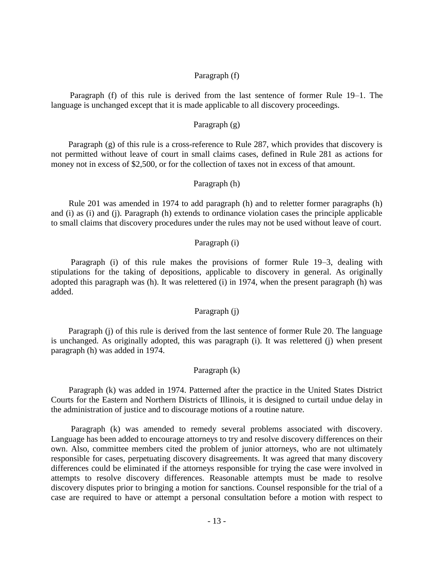### Paragraph (f)

 Paragraph (f) of this rule is derived from the last sentence of former Rule 19–1. The language is unchanged except that it is made applicable to all discovery proceedings.

### Paragraph (g)

 Paragraph (g) of this rule is a cross-reference to Rule 287, which provides that discovery is not permitted without leave of court in small claims cases, defined in Rule 281 as actions for money not in excess of \$2,500, or for the collection of taxes not in excess of that amount.

#### Paragraph (h)

 Rule 201 was amended in 1974 to add paragraph (h) and to reletter former paragraphs (h) and (i) as (i) and (j). Paragraph (h) extends to ordinance violation cases the principle applicable to small claims that discovery procedures under the rules may not be used without leave of court.

#### Paragraph (i)

 Paragraph (i) of this rule makes the provisions of former Rule 19–3, dealing with stipulations for the taking of depositions, applicable to discovery in general. As originally adopted this paragraph was (h). It was relettered (i) in 1974, when the present paragraph (h) was added.

### Paragraph (j)

 Paragraph (j) of this rule is derived from the last sentence of former Rule 20. The language is unchanged. As originally adopted, this was paragraph (i). It was relettered (j) when present paragraph (h) was added in 1974.

### Paragraph (k)

 Paragraph (k) was added in 1974. Patterned after the practice in the United States District Courts for the Eastern and Northern Districts of Illinois, it is designed to curtail undue delay in the administration of justice and to discourage motions of a routine nature.

 Paragraph (k) was amended to remedy several problems associated with discovery. Language has been added to encourage attorneys to try and resolve discovery differences on their own. Also, committee members cited the problem of junior attorneys, who are not ultimately responsible for cases, perpetuating discovery disagreements. It was agreed that many discovery differences could be eliminated if the attorneys responsible for trying the case were involved in attempts to resolve discovery differences. Reasonable attempts must be made to resolve discovery disputes prior to bringing a motion for sanctions. Counsel responsible for the trial of a case are required to have or attempt a personal consultation before a motion with respect to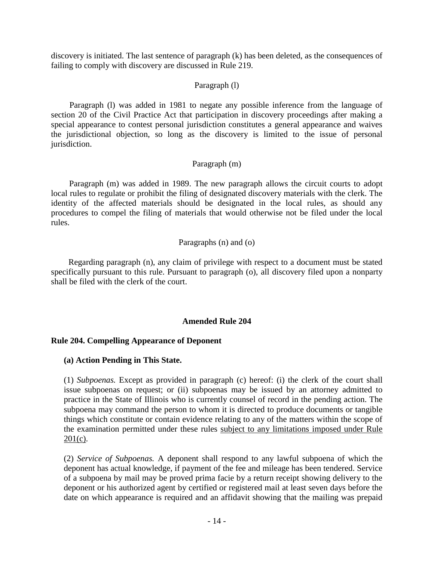discovery is initiated. The last sentence of paragraph (k) has been deleted, as the consequences of failing to comply with discovery are discussed in Rule 219.

### Paragraph (l)

 Paragraph (l) was added in 1981 to negate any possible inference from the language of section 20 of the Civil Practice Act that participation in discovery proceedings after making a special appearance to contest personal jurisdiction constitutes a general appearance and waives the jurisdictional objection, so long as the discovery is limited to the issue of personal jurisdiction.

### Paragraph (m)

 Paragraph (m) was added in 1989. The new paragraph allows the circuit courts to adopt local rules to regulate or prohibit the filing of designated discovery materials with the clerk. The identity of the affected materials should be designated in the local rules, as should any procedures to compel the filing of materials that would otherwise not be filed under the local rules.

### Paragraphs (n) and (o)

 Regarding paragraph (n), any claim of privilege with respect to a document must be stated specifically pursuant to this rule. Pursuant to paragraph (o), all discovery filed upon a nonparty shall be filed with the clerk of the court.

# **Amended Rule 204**

# **Rule 204. Compelling Appearance of Deponent**

### **(a) Action Pending in This State.**

(1) *Subpoenas.* Except as provided in paragraph (c) hereof: (i) the clerk of the court shall issue subpoenas on request; or (ii) subpoenas may be issued by an attorney admitted to practice in the State of Illinois who is currently counsel of record in the pending action. The subpoena may command the person to whom it is directed to produce documents or tangible things which constitute or contain evidence relating to any of the matters within the scope of the examination permitted under these rules subject to any limitations imposed under Rule  $201(c)$ .

(2) *Service of Subpoenas.* A deponent shall respond to any lawful subpoena of which the deponent has actual knowledge, if payment of the fee and mileage has been tendered. Service of a subpoena by mail may be proved prima facie by a return receipt showing delivery to the deponent or his authorized agent by certified or registered mail at least seven days before the date on which appearance is required and an affidavit showing that the mailing was prepaid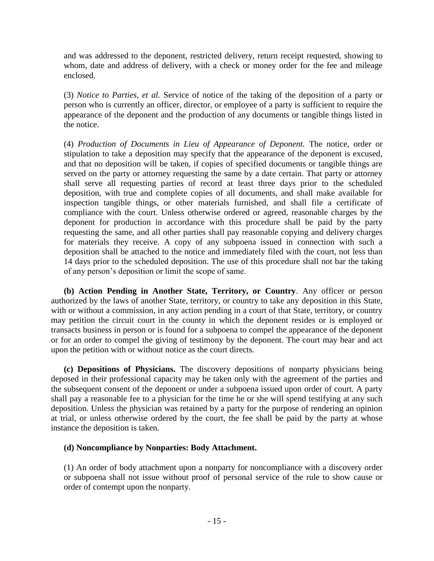and was addressed to the deponent, restricted delivery, return receipt requested, showing to whom, date and address of delivery, with a check or money order for the fee and mileage enclosed.

(3) *Notice to Parties, et al.* Service of notice of the taking of the deposition of a party or person who is currently an officer, director, or employee of a party is sufficient to require the appearance of the deponent and the production of any documents or tangible things listed in the notice.

(4) *Production of Documents in Lieu of Appearance of Deponent.* The notice, order or stipulation to take a deposition may specify that the appearance of the deponent is excused, and that no deposition will be taken, if copies of specified documents or tangible things are served on the party or attorney requesting the same by a date certain. That party or attorney shall serve all requesting parties of record at least three days prior to the scheduled deposition, with true and complete copies of all documents, and shall make available for inspection tangible things, or other materials furnished, and shall file a certificate of compliance with the court. Unless otherwise ordered or agreed, reasonable charges by the deponent for production in accordance with this procedure shall be paid by the party requesting the same, and all other parties shall pay reasonable copying and delivery charges for materials they receive. A copy of any subpoena issued in connection with such a deposition shall be attached to the notice and immediately filed with the court, not less than 14 days prior to the scheduled deposition. The use of this procedure shall not bar the taking of any person's deposition or limit the scope of same.

 **(b) Action Pending in Another State, Territory, or Country**. Any officer or person authorized by the laws of another State, territory, or country to take any deposition in this State, with or without a commission, in any action pending in a court of that State, territory, or country may petition the circuit court in the county in which the deponent resides or is employed or transacts business in person or is found for a subpoena to compel the appearance of the deponent or for an order to compel the giving of testimony by the deponent. The court may hear and act upon the petition with or without notice as the court directs.

 **(c) Depositions of Physicians.** The discovery depositions of nonparty physicians being deposed in their professional capacity may be taken only with the agreement of the parties and the subsequent consent of the deponent or under a subpoena issued upon order of court. A party shall pay a reasonable fee to a physician for the time he or she will spend testifying at any such deposition. Unless the physician was retained by a party for the purpose of rendering an opinion at trial, or unless otherwise ordered by the court, the fee shall be paid by the party at whose instance the deposition is taken.

# **(d) Noncompliance by Nonparties: Body Attachment.**

(1) An order of body attachment upon a nonparty for noncompliance with a discovery order or subpoena shall not issue without proof of personal service of the rule to show cause or order of contempt upon the nonparty.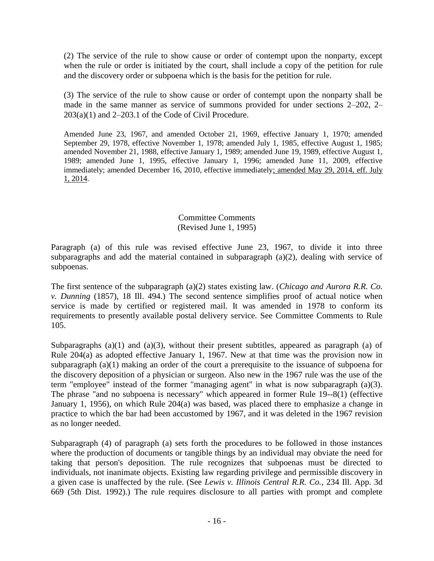(2) The service of the rule to show cause or order of contempt upon the nonparty, except when the rule or order is initiated by the court, shall include a copy of the petition for rule and the discovery order or subpoena which is the basis for the petition for rule.

(3) The service of the rule to show cause or order of contempt upon the nonparty shall be made in the same manner as service of summons provided for under sections 2–202, 2–  $203(a)(1)$  and  $2-203.1$  of the Code of Civil Procedure.

Amended June 23, 1967, and amended October 21, 1969, effective January 1, 1970; amended September 29, 1978, effective November 1, 1978; amended July 1, 1985, effective August 1, 1985; amended November 21, 1988, effective January 1, 1989; amended June 19, 1989, effective August 1, 1989; amended June 1, 1995, effective January 1, 1996; amended June 11, 2009, effective immediately; amended December 16, 2010, effective immediately; amended May 29, 2014, eff. July 1, 2014.

## Committee Comments (Revised June 1, 1995)

Paragraph (a) of this rule was revised effective June 23, 1967, to divide it into three subparagraphs and add the material contained in subparagraph (a)(2), dealing with service of subpoenas.

The first sentence of the subparagraph (a)(2) states existing law. (*Chicago and Aurora R.R. Co. v. Dunning* (1857), 18 Ill. 494.) The second sentence simplifies proof of actual notice when service is made by certified or registered mail. It was amended in 1978 to conform its requirements to presently available postal delivery service. See Committee Comments to Rule 105.

Subparagraphs  $(a)(1)$  and  $(a)(3)$ , without their present subtitles, appeared as paragraph  $(a)$  of Rule 204(a) as adopted effective January 1, 1967. New at that time was the provision now in subparagraph (a)(1) making an order of the court a prerequisite to the issuance of subpoena for the discovery deposition of a physician or surgeon. Also new in the 1967 rule was the use of the term "employee" instead of the former "managing agent" in what is now subparagraph (a)(3). The phrase "and no subpoena is necessary" which appeared in former Rule 19--8(1) (effective January 1, 1956), on which Rule 204(a) was based, was placed there to emphasize a change in practice to which the bar had been accustomed by 1967, and it was deleted in the 1967 revision as no longer needed.

Subparagraph (4) of paragraph (a) sets forth the procedures to be followed in those instances where the production of documents or tangible things by an individual may obviate the need for taking that person's deposition. The rule recognizes that subpoenas must be directed to individuals, not inanimate objects. Existing law regarding privilege and permissible discovery in a given case is unaffected by the rule. (See *Lewis v. Illinois Central R.R. Co.*, 234 Ill. App. 3d 669 (5th Dist. 1992).) The rule requires disclosure to all parties with prompt and complete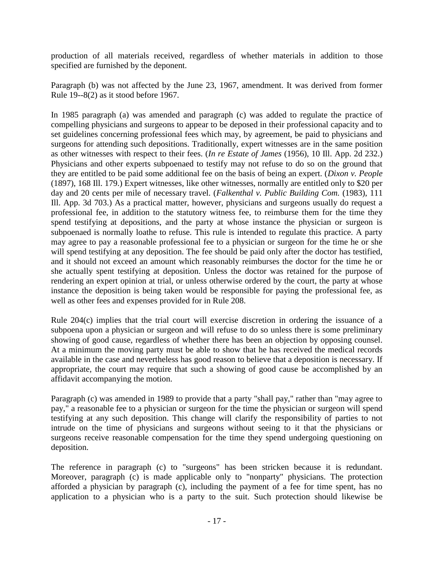production of all materials received, regardless of whether materials in addition to those specified are furnished by the deponent.

Paragraph (b) was not affected by the June 23, 1967, amendment. It was derived from former Rule 19--8(2) as it stood before 1967.

In 1985 paragraph (a) was amended and paragraph (c) was added to regulate the practice of compelling physicians and surgeons to appear to be deposed in their professional capacity and to set guidelines concerning professional fees which may, by agreement, be paid to physicians and surgeons for attending such depositions. Traditionally, expert witnesses are in the same position as other witnesses with respect to their fees. (*In re Estate of James* (1956), 10 Ill. App. 2d 232.) Physicians and other experts subpoenaed to testify may not refuse to do so on the ground that they are entitled to be paid some additional fee on the basis of being an expert. (*Dixon v. People* (1897), 168 Ill. 179.) Expert witnesses, like other witnesses, normally are entitled only to \$20 per day and 20 cents per mile of necessary travel. (*Falkenthal v. Public Building Com.* (1983), 111 Ill. App. 3d 703.) As a practical matter, however, physicians and surgeons usually do request a professional fee, in addition to the statutory witness fee, to reimburse them for the time they spend testifying at depositions, and the party at whose instance the physician or surgeon is subpoenaed is normally loathe to refuse. This rule is intended to regulate this practice. A party may agree to pay a reasonable professional fee to a physician or surgeon for the time he or she will spend testifying at any deposition. The fee should be paid only after the doctor has testified, and it should not exceed an amount which reasonably reimburses the doctor for the time he or she actually spent testifying at deposition. Unless the doctor was retained for the purpose of rendering an expert opinion at trial, or unless otherwise ordered by the court, the party at whose instance the deposition is being taken would be responsible for paying the professional fee, as well as other fees and expenses provided for in Rule 208.

Rule 204(c) implies that the trial court will exercise discretion in ordering the issuance of a subpoena upon a physician or surgeon and will refuse to do so unless there is some preliminary showing of good cause, regardless of whether there has been an objection by opposing counsel. At a minimum the moving party must be able to show that he has received the medical records available in the case and nevertheless has good reason to believe that a deposition is necessary. If appropriate, the court may require that such a showing of good cause be accomplished by an affidavit accompanying the motion.

Paragraph (c) was amended in 1989 to provide that a party "shall pay," rather than "may agree to pay," a reasonable fee to a physician or surgeon for the time the physician or surgeon will spend testifying at any such deposition. This change will clarify the responsibility of parties to not intrude on the time of physicians and surgeons without seeing to it that the physicians or surgeons receive reasonable compensation for the time they spend undergoing questioning on deposition.

The reference in paragraph (c) to "surgeons" has been stricken because it is redundant. Moreover, paragraph (c) is made applicable only to "nonparty" physicians. The protection afforded a physician by paragraph (c), including the payment of a fee for time spent, has no application to a physician who is a party to the suit. Such protection should likewise be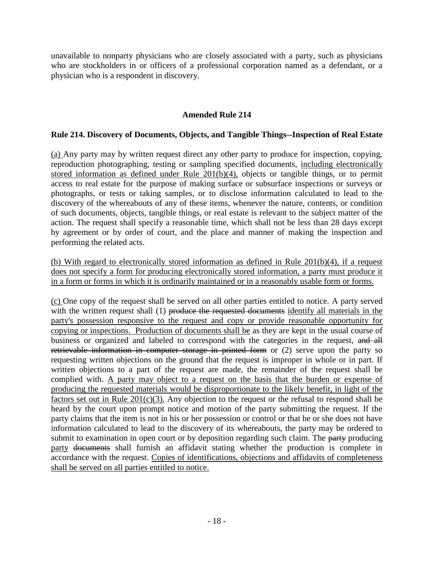unavailable to nonparty physicians who are closely associated with a party, such as physicians who are stockholders in or officers of a professional corporation named as a defendant, or a physician who is a respondent in discovery.

# **Amended Rule 214**

# **Rule 214. Discovery of Documents, Objects, and Tangible Things--Inspection of Real Estate**

(a) Any party may by written request direct any other party to produce for inspection, copying, reproduction photographing, testing or sampling specified documents, including electronically stored information as defined under Rule 201(b)(4), objects or tangible things, or to permit access to real estate for the purpose of making surface or subsurface inspections or surveys or photographs, or tests or taking samples, or to disclose information calculated to lead to the discovery of the whereabouts of any of these items, whenever the nature, contents, or condition of such documents, objects, tangible things, or real estate is relevant to the subject matter of the action. The request shall specify a reasonable time, which shall not be less than 28 days except by agreement or by order of court, and the place and manner of making the inspection and performing the related acts.

(b) With regard to electronically stored information as defined in Rule 201(b)(4), if a request does not specify a form for producing electronically stored information, a party must produce it in a form or forms in which it is ordinarily maintained or in a reasonably usable form or forms.

(c) One copy of the request shall be served on all other parties entitled to notice. A party served with the written request shall (1) produce the requested documents identify all materials in the party's possession responsive to the request and copy or provide reasonable opportunity for copying or inspections. Production of documents shall be as they are kept in the usual course of business or organized and labeled to correspond with the categories in the request, and all retrievable information in computer storage in printed form or (2) serve upon the party so requesting written objections on the ground that the request is improper in whole or in part. If written objections to a part of the request are made, the remainder of the request shall be complied with. A party may object to a request on the basis that the burden or expense of producing the requested materials would be disproportionate to the likely benefit, in light of the factors set out in Rule  $201(c)(3)$ . Any objection to the request or the refusal to respond shall be heard by the court upon prompt notice and motion of the party submitting the request. If the party claims that the item is not in his or her possession or control or that he or she does not have information calculated to lead to the discovery of its whereabouts, the party may be ordered to submit to examination in open court or by deposition regarding such claim. The party producing party documents shall furnish an affidavit stating whether the production is complete in accordance with the request. Copies of identifications, objections and affidavits of completeness shall be served on all parties entitled to notice.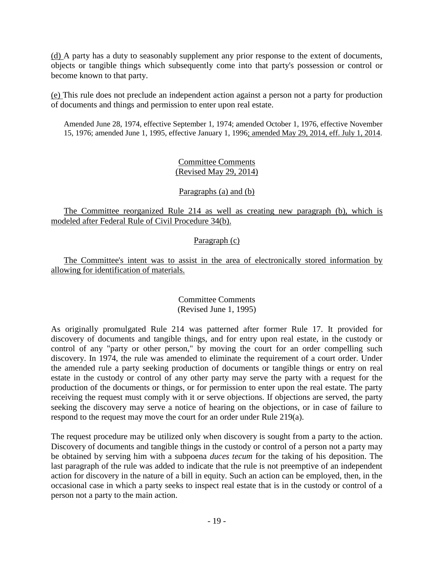(d) A party has a duty to seasonably supplement any prior response to the extent of documents, objects or tangible things which subsequently come into that party's possession or control or become known to that party.

(e) This rule does not preclude an independent action against a person not a party for production of documents and things and permission to enter upon real estate.

Amended June 28, 1974, effective September 1, 1974; amended October 1, 1976, effective November 15, 1976; amended June 1, 1995, effective January 1, 1996; amended May 29, 2014, eff. July 1, 2014.

> Committee Comments (Revised May 29, 2014)

### Paragraphs (a) and (b)

The Committee reorganized Rule 214 as well as creating new paragraph (b), which is modeled after Federal Rule of Civil Procedure 34(b).

# Paragraph (c)

The Committee's intent was to assist in the area of electronically stored information by allowing for identification of materials.

### Committee Comments (Revised June 1, 1995)

As originally promulgated Rule 214 was patterned after former Rule 17. It provided for discovery of documents and tangible things, and for entry upon real estate, in the custody or control of any "party or other person," by moving the court for an order compelling such discovery. In 1974, the rule was amended to eliminate the requirement of a court order. Under the amended rule a party seeking production of documents or tangible things or entry on real estate in the custody or control of any other party may serve the party with a request for the production of the documents or things, or for permission to enter upon the real estate. The party receiving the request must comply with it or serve objections. If objections are served, the party seeking the discovery may serve a notice of hearing on the objections, or in case of failure to respond to the request may move the court for an order under Rule 219(a).

The request procedure may be utilized only when discovery is sought from a party to the action. Discovery of documents and tangible things in the custody or control of a person not a party may be obtained by serving him with a subpoena *duces tecum* for the taking of his deposition. The last paragraph of the rule was added to indicate that the rule is not preemptive of an independent action for discovery in the nature of a bill in equity. Such an action can be employed, then, in the occasional case in which a party seeks to inspect real estate that is in the custody or control of a person not a party to the main action.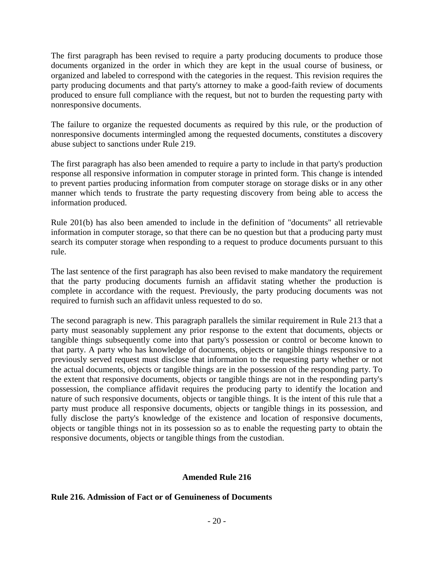The first paragraph has been revised to require a party producing documents to produce those documents organized in the order in which they are kept in the usual course of business, or organized and labeled to correspond with the categories in the request. This revision requires the party producing documents and that party's attorney to make a good-faith review of documents produced to ensure full compliance with the request, but not to burden the requesting party with nonresponsive documents.

The failure to organize the requested documents as required by this rule, or the production of nonresponsive documents intermingled among the requested documents, constitutes a discovery abuse subject to sanctions under Rule 219.

The first paragraph has also been amended to require a party to include in that party's production response all responsive information in computer storage in printed form. This change is intended to prevent parties producing information from computer storage on storage disks or in any other manner which tends to frustrate the party requesting discovery from being able to access the information produced.

Rule 201(b) has also been amended to include in the definition of "documents" all retrievable information in computer storage, so that there can be no question but that a producing party must search its computer storage when responding to a request to produce documents pursuant to this rule.

The last sentence of the first paragraph has also been revised to make mandatory the requirement that the party producing documents furnish an affidavit stating whether the production is complete in accordance with the request. Previously, the party producing documents was not required to furnish such an affidavit unless requested to do so.

The second paragraph is new. This paragraph parallels the similar requirement in Rule 213 that a party must seasonably supplement any prior response to the extent that documents, objects or tangible things subsequently come into that party's possession or control or become known to that party. A party who has knowledge of documents, objects or tangible things responsive to a previously served request must disclose that information to the requesting party whether or not the actual documents, objects or tangible things are in the possession of the responding party. To the extent that responsive documents, objects or tangible things are not in the responding party's possession, the compliance affidavit requires the producing party to identify the location and nature of such responsive documents, objects or tangible things. It is the intent of this rule that a party must produce all responsive documents, objects or tangible things in its possession, and fully disclose the party's knowledge of the existence and location of responsive documents, objects or tangible things not in its possession so as to enable the requesting party to obtain the responsive documents, objects or tangible things from the custodian.

# **Amended Rule 216**

### **Rule 216. Admission of Fact or of Genuineness of Documents**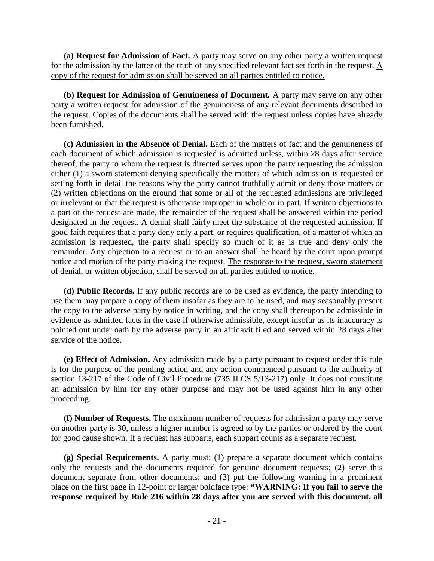**(a) Request for Admission of Fact.** A party may serve on any other party a written request for the admission by the latter of the truth of any specified relevant fact set forth in the request.  $\underline{A}$ copy of the request for admission shall be served on all parties entitled to notice.

 **(b) Request for Admission of Genuineness of Document.** A party may serve on any other party a written request for admission of the genuineness of any relevant documents described in the request. Copies of the documents shall be served with the request unless copies have already been furnished.

 **(c) Admission in the Absence of Denial.** Each of the matters of fact and the genuineness of each document of which admission is requested is admitted unless, within 28 days after service thereof, the party to whom the request is directed serves upon the party requesting the admission either (1) a sworn statement denying specifically the matters of which admission is requested or setting forth in detail the reasons why the party cannot truthfully admit or deny those matters or (2) written objections on the ground that some or all of the requested admissions are privileged or irrelevant or that the request is otherwise improper in whole or in part. If written objections to a part of the request are made, the remainder of the request shall be answered within the period designated in the request. A denial shall fairly meet the substance of the requested admission. If good faith requires that a party deny only a part, or requires qualification, of a matter of which an admission is requested, the party shall specify so much of it as is true and deny only the remainder. Any objection to a request or to an answer shall be heard by the court upon prompt notice and motion of the party making the request. The response to the request, sworn statement of denial, or written objection, shall be served on all parties entitled to notice.

 **(d) Public Records.** If any public records are to be used as evidence, the party intending to use them may prepare a copy of them insofar as they are to be used, and may seasonably present the copy to the adverse party by notice in writing, and the copy shall thereupon be admissible in evidence as admitted facts in the case if otherwise admissible, except insofar as its inaccuracy is pointed out under oath by the adverse party in an affidavit filed and served within 28 days after service of the notice.

 **(e) Effect of Admission.** Any admission made by a party pursuant to request under this rule is for the purpose of the pending action and any action commenced pursuant to the authority of section 13-217 of the Code of Civil Procedure (735 ILCS 5/13-217) only. It does not constitute an admission by him for any other purpose and may not be used against him in any other proceeding.

 **(f) Number of Requests.** The maximum number of requests for admission a party may serve on another party is 30, unless a higher number is agreed to by the parties or ordered by the court for good cause shown. If a request has subparts, each subpart counts as a separate request.

 **(g) Special Requirements.** A party must: (1) prepare a separate document which contains only the requests and the documents required for genuine document requests; (2) serve this document separate from other documents; and (3) put the following warning in a prominent place on the first page in 12-point or larger boldface type: **"WARNING: If you fail to serve the response required by Rule 216 within 28 days after you are served with this document, all**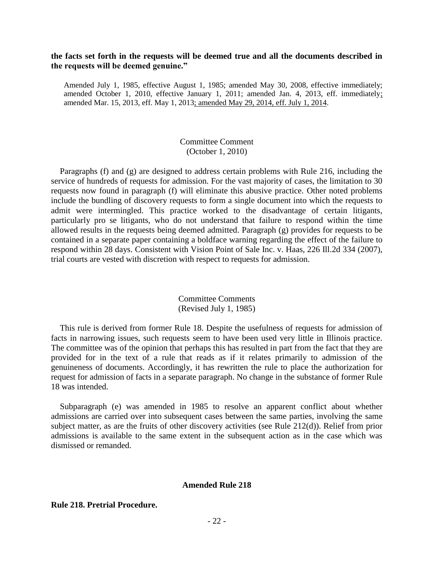### **the facts set forth in the requests will be deemed true and all the documents described in the requests will be deemed genuine."**

Amended July 1, 1985, effective August 1, 1985; amended May 30, 2008, effective immediately; amended October 1, 2010, effective January 1, 2011; amended Jan. 4, 2013, eff. immediately; amended Mar. 15, 2013, eff. May 1, 2013; amended May 29, 2014, eff. July 1, 2014.

### Committee Comment (October 1, 2010)

Paragraphs (f) and (g) are designed to address certain problems with Rule 216, including the service of hundreds of requests for admission. For the vast majority of cases, the limitation to 30 requests now found in paragraph (f) will eliminate this abusive practice. Other noted problems include the bundling of discovery requests to form a single document into which the requests to admit were intermingled. This practice worked to the disadvantage of certain litigants, particularly pro se litigants, who do not understand that failure to respond within the time allowed results in the requests being deemed admitted. Paragraph (g) provides for requests to be contained in a separate paper containing a boldface warning regarding the effect of the failure to respond within 28 days. Consistent with Vision Point of Sale Inc. v. Haas, 226 Ill.2d 334 (2007), trial courts are vested with discretion with respect to requests for admission.

### Committee Comments (Revised July 1, 1985)

This rule is derived from former Rule 18. Despite the usefulness of requests for admission of facts in narrowing issues, such requests seem to have been used very little in Illinois practice. The committee was of the opinion that perhaps this has resulted in part from the fact that they are provided for in the text of a rule that reads as if it relates primarily to admission of the genuineness of documents. Accordingly, it has rewritten the rule to place the authorization for request for admission of facts in a separate paragraph. No change in the substance of former Rule 18 was intended.

Subparagraph (e) was amended in 1985 to resolve an apparent conflict about whether admissions are carried over into subsequent cases between the same parties, involving the same subject matter, as are the fruits of other discovery activities (see Rule 212(d)). Relief from prior admissions is available to the same extent in the subsequent action as in the case which was dismissed or remanded.

#### **Amended Rule 218**

**Rule 218. Pretrial Procedure.**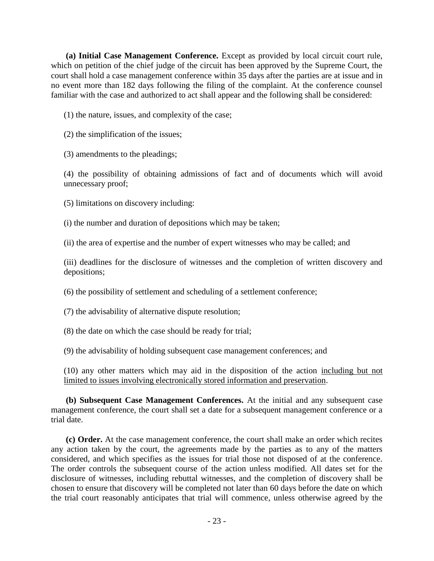**(a) Initial Case Management Conference.** Except as provided by local circuit court rule, which on petition of the chief judge of the circuit has been approved by the Supreme Court, the court shall hold a case management conference within 35 days after the parties are at issue and in no event more than 182 days following the filing of the complaint. At the conference counsel familiar with the case and authorized to act shall appear and the following shall be considered:

(1) the nature, issues, and complexity of the case;

(2) the simplification of the issues;

(3) amendments to the pleadings;

(4) the possibility of obtaining admissions of fact and of documents which will avoid unnecessary proof;

(5) limitations on discovery including:

(i) the number and duration of depositions which may be taken;

(ii) the area of expertise and the number of expert witnesses who may be called; and

(iii) deadlines for the disclosure of witnesses and the completion of written discovery and depositions;

(6) the possibility of settlement and scheduling of a settlement conference;

(7) the advisability of alternative dispute resolution;

(8) the date on which the case should be ready for trial;

(9) the advisability of holding subsequent case management conferences; and

(10) any other matters which may aid in the disposition of the action including but not limited to issues involving electronically stored information and preservation.

 **(b) Subsequent Case Management Conferences.** At the initial and any subsequent case management conference, the court shall set a date for a subsequent management conference or a trial date.

 **(c) Order.** At the case management conference, the court shall make an order which recites any action taken by the court, the agreements made by the parties as to any of the matters considered, and which specifies as the issues for trial those not disposed of at the conference. The order controls the subsequent course of the action unless modified. All dates set for the disclosure of witnesses, including rebuttal witnesses, and the completion of discovery shall be chosen to ensure that discovery will be completed not later than 60 days before the date on which the trial court reasonably anticipates that trial will commence, unless otherwise agreed by the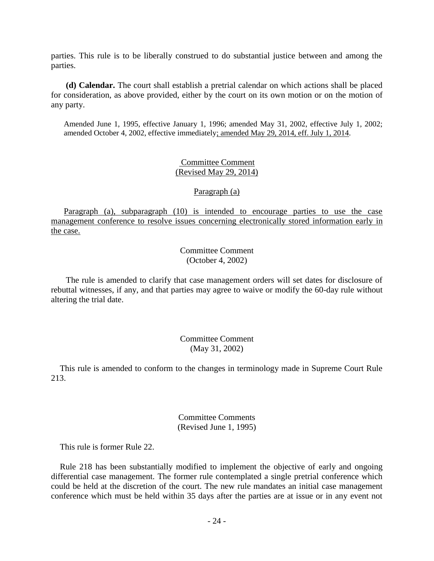parties. This rule is to be liberally construed to do substantial justice between and among the parties.

 **(d) Calendar.** The court shall establish a pretrial calendar on which actions shall be placed for consideration, as above provided, either by the court on its own motion or on the motion of any party.

Amended June 1, 1995, effective January 1, 1996; amended May 31, 2002, effective July 1, 2002; amended October 4, 2002, effective immediately; amended May 29, 2014, eff. July 1, 2014.

> Committee Comment (Revised May 29, 2014)

### Paragraph (a)

Paragraph (a), subparagraph (10) is intended to encourage parties to use the case management conference to resolve issues concerning electronically stored information early in the case.

### Committee Comment (October 4, 2002)

The rule is amended to clarify that case management orders will set dates for disclosure of rebuttal witnesses, if any, and that parties may agree to waive or modify the 60-day rule without altering the trial date.

### Committee Comment (May 31, 2002)

This rule is amended to conform to the changes in terminology made in Supreme Court Rule 213.

### Committee Comments (Revised June 1, 1995)

This rule is former Rule 22.

Rule 218 has been substantially modified to implement the objective of early and ongoing differential case management. The former rule contemplated a single pretrial conference which could be held at the discretion of the court. The new rule mandates an initial case management conference which must be held within 35 days after the parties are at issue or in any event not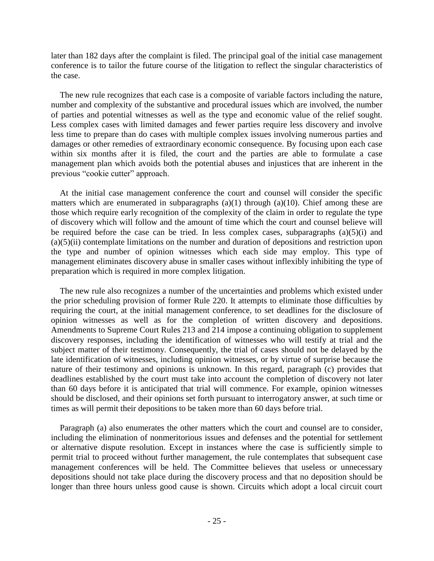later than 182 days after the complaint is filed. The principal goal of the initial case management conference is to tailor the future course of the litigation to reflect the singular characteristics of the case.

The new rule recognizes that each case is a composite of variable factors including the nature, number and complexity of the substantive and procedural issues which are involved, the number of parties and potential witnesses as well as the type and economic value of the relief sought. Less complex cases with limited damages and fewer parties require less discovery and involve less time to prepare than do cases with multiple complex issues involving numerous parties and damages or other remedies of extraordinary economic consequence. By focusing upon each case within six months after it is filed, the court and the parties are able to formulate a case management plan which avoids both the potential abuses and injustices that are inherent in the previous "cookie cutter" approach.

At the initial case management conference the court and counsel will consider the specific matters which are enumerated in subparagraphs  $(a)(1)$  through  $(a)(10)$ . Chief among these are those which require early recognition of the complexity of the claim in order to regulate the type of discovery which will follow and the amount of time which the court and counsel believe will be required before the case can be tried. In less complex cases, subparagraphs (a)(5)(i) and (a)(5)(ii) contemplate limitations on the number and duration of depositions and restriction upon the type and number of opinion witnesses which each side may employ. This type of management eliminates discovery abuse in smaller cases without inflexibly inhibiting the type of preparation which is required in more complex litigation.

The new rule also recognizes a number of the uncertainties and problems which existed under the prior scheduling provision of former Rule 220. It attempts to eliminate those difficulties by requiring the court, at the initial management conference, to set deadlines for the disclosure of opinion witnesses as well as for the completion of written discovery and depositions. Amendments to Supreme Court Rules 213 and 214 impose a continuing obligation to supplement discovery responses, including the identification of witnesses who will testify at trial and the subject matter of their testimony. Consequently, the trial of cases should not be delayed by the late identification of witnesses, including opinion witnesses, or by virtue of surprise because the nature of their testimony and opinions is unknown. In this regard, paragraph (c) provides that deadlines established by the court must take into account the completion of discovery not later than 60 days before it is anticipated that trial will commence. For example, opinion witnesses should be disclosed, and their opinions set forth pursuant to interrogatory answer, at such time or times as will permit their depositions to be taken more than 60 days before trial.

Paragraph (a) also enumerates the other matters which the court and counsel are to consider, including the elimination of nonmeritorious issues and defenses and the potential for settlement or alternative dispute resolution. Except in instances where the case is sufficiently simple to permit trial to proceed without further management, the rule contemplates that subsequent case management conferences will be held. The Committee believes that useless or unnecessary depositions should not take place during the discovery process and that no deposition should be longer than three hours unless good cause is shown. Circuits which adopt a local circuit court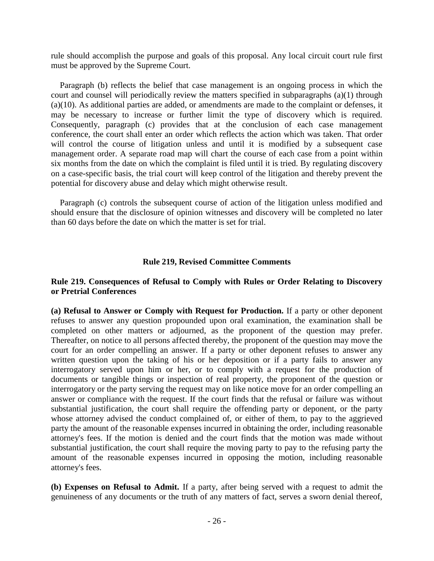rule should accomplish the purpose and goals of this proposal. Any local circuit court rule first must be approved by the Supreme Court.

Paragraph (b) reflects the belief that case management is an ongoing process in which the court and counsel will periodically review the matters specified in subparagraphs (a)(1) through (a)(10). As additional parties are added, or amendments are made to the complaint or defenses, it may be necessary to increase or further limit the type of discovery which is required. Consequently, paragraph (c) provides that at the conclusion of each case management conference, the court shall enter an order which reflects the action which was taken. That order will control the course of litigation unless and until it is modified by a subsequent case management order. A separate road map will chart the course of each case from a point within six months from the date on which the complaint is filed until it is tried. By regulating discovery on a case-specific basis, the trial court will keep control of the litigation and thereby prevent the potential for discovery abuse and delay which might otherwise result.

Paragraph (c) controls the subsequent course of action of the litigation unless modified and should ensure that the disclosure of opinion witnesses and discovery will be completed no later than 60 days before the date on which the matter is set for trial.

### **Rule 219, Revised Committee Comments**

### **Rule 219. Consequences of Refusal to Comply with Rules or Order Relating to Discovery or Pretrial Conferences**

**(a) Refusal to Answer or Comply with Request for Production.** If a party or other deponent refuses to answer any question propounded upon oral examination, the examination shall be completed on other matters or adjourned, as the proponent of the question may prefer. Thereafter, on notice to all persons affected thereby, the proponent of the question may move the court for an order compelling an answer. If a party or other deponent refuses to answer any written question upon the taking of his or her deposition or if a party fails to answer any interrogatory served upon him or her, or to comply with a request for the production of documents or tangible things or inspection of real property, the proponent of the question or interrogatory or the party serving the request may on like notice move for an order compelling an answer or compliance with the request. If the court finds that the refusal or failure was without substantial justification, the court shall require the offending party or deponent, or the party whose attorney advised the conduct complained of, or either of them, to pay to the aggrieved party the amount of the reasonable expenses incurred in obtaining the order, including reasonable attorney's fees. If the motion is denied and the court finds that the motion was made without substantial justification, the court shall require the moving party to pay to the refusing party the amount of the reasonable expenses incurred in opposing the motion, including reasonable attorney's fees.

**(b) Expenses on Refusal to Admit.** If a party, after being served with a request to admit the genuineness of any documents or the truth of any matters of fact, serves a sworn denial thereof,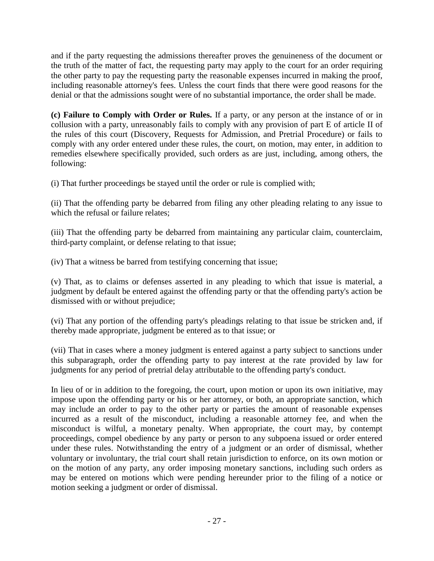and if the party requesting the admissions thereafter proves the genuineness of the document or the truth of the matter of fact, the requesting party may apply to the court for an order requiring the other party to pay the requesting party the reasonable expenses incurred in making the proof, including reasonable attorney's fees. Unless the court finds that there were good reasons for the denial or that the admissions sought were of no substantial importance, the order shall be made.

**(c) Failure to Comply with Order or Rules.** If a party, or any person at the instance of or in collusion with a party, unreasonably fails to comply with any provision of part E of article II of the rules of this court (Discovery, Requests for Admission, and Pretrial Procedure) or fails to comply with any order entered under these rules, the court, on motion, may enter, in addition to remedies elsewhere specifically provided, such orders as are just, including, among others, the following:

(i) That further proceedings be stayed until the order or rule is complied with;

(ii) That the offending party be debarred from filing any other pleading relating to any issue to which the refusal or failure relates;

(iii) That the offending party be debarred from maintaining any particular claim, counterclaim, third-party complaint, or defense relating to that issue;

(iv) That a witness be barred from testifying concerning that issue;

(v) That, as to claims or defenses asserted in any pleading to which that issue is material, a judgment by default be entered against the offending party or that the offending party's action be dismissed with or without prejudice;

(vi) That any portion of the offending party's pleadings relating to that issue be stricken and, if thereby made appropriate, judgment be entered as to that issue; or

(vii) That in cases where a money judgment is entered against a party subject to sanctions under this subparagraph, order the offending party to pay interest at the rate provided by law for judgments for any period of pretrial delay attributable to the offending party's conduct.

In lieu of or in addition to the foregoing, the court, upon motion or upon its own initiative, may impose upon the offending party or his or her attorney, or both, an appropriate sanction, which may include an order to pay to the other party or parties the amount of reasonable expenses incurred as a result of the misconduct, including a reasonable attorney fee, and when the misconduct is wilful, a monetary penalty. When appropriate, the court may, by contempt proceedings, compel obedience by any party or person to any subpoena issued or order entered under these rules. Notwithstanding the entry of a judgment or an order of dismissal, whether voluntary or involuntary, the trial court shall retain jurisdiction to enforce, on its own motion or on the motion of any party, any order imposing monetary sanctions, including such orders as may be entered on motions which were pending hereunder prior to the filing of a notice or motion seeking a judgment or order of dismissal.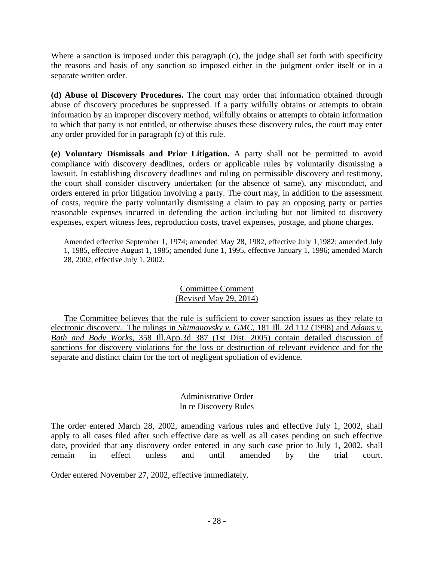Where a sanction is imposed under this paragraph (c), the judge shall set forth with specificity the reasons and basis of any sanction so imposed either in the judgment order itself or in a separate written order.

**(d) Abuse of Discovery Procedures.** The court may order that information obtained through abuse of discovery procedures be suppressed. If a party wilfully obtains or attempts to obtain information by an improper discovery method, wilfully obtains or attempts to obtain information to which that party is not entitled, or otherwise abuses these discovery rules, the court may enter any order provided for in paragraph (c) of this rule.

**(e) Voluntary Dismissals and Prior Litigation.** A party shall not be permitted to avoid compliance with discovery deadlines, orders or applicable rules by voluntarily dismissing a lawsuit. In establishing discovery deadlines and ruling on permissible discovery and testimony, the court shall consider discovery undertaken (or the absence of same), any misconduct, and orders entered in prior litigation involving a party. The court may, in addition to the assessment of costs, require the party voluntarily dismissing a claim to pay an opposing party or parties reasonable expenses incurred in defending the action including but not limited to discovery expenses, expert witness fees, reproduction costs, travel expenses, postage, and phone charges.

Amended effective September 1, 1974; amended May 28, 1982, effective July 1,1982; amended July 1, 1985, effective August 1, 1985; amended June 1, 1995, effective January 1, 1996; amended March 28, 2002, effective July 1, 2002.

# Committee Comment (Revised May 29, 2014)

The Committee believes that the rule is sufficient to cover sanction issues as they relate to electronic discovery. The rulings in *Shimanovsky v. GMC*, 181 Ill. 2d 112 (1998) and *Adams v. Bath and Body Works*, 358 Ill.App.3d 387 (1st Dist. 2005) contain detailed discussion of sanctions for discovery violations for the loss or destruction of relevant evidence and for the separate and distinct claim for the tort of negligent spoliation of evidence.

### Administrative Order In re Discovery Rules

The order entered March 28, 2002, amending various rules and effective July 1, 2002, shall apply to all cases filed after such effective date as well as all cases pending on such effective date, provided that any discovery order entered in any such case prior to July 1, 2002, shall remain in effect unless and until amended by the trial court.

Order entered November 27, 2002, effective immediately.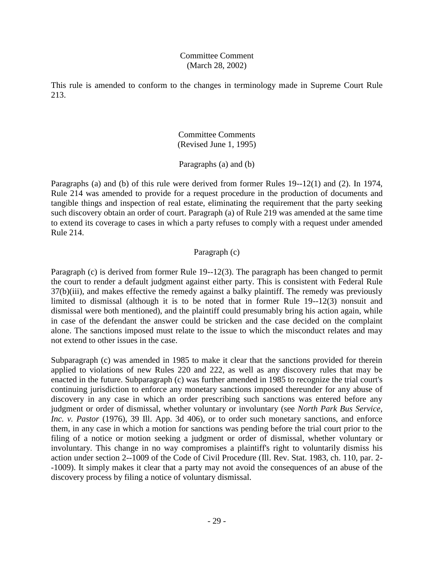### Committee Comment (March 28, 2002)

This rule is amended to conform to the changes in terminology made in Supreme Court Rule 213.

> Committee Comments (Revised June 1, 1995)

Paragraphs (a) and (b)

Paragraphs (a) and (b) of this rule were derived from former Rules 19--12(1) and (2). In 1974, Rule 214 was amended to provide for a request procedure in the production of documents and tangible things and inspection of real estate, eliminating the requirement that the party seeking such discovery obtain an order of court. Paragraph (a) of Rule 219 was amended at the same time to extend its coverage to cases in which a party refuses to comply with a request under amended Rule 214.

# Paragraph (c)

Paragraph (c) is derived from former Rule 19--12(3). The paragraph has been changed to permit the court to render a default judgment against either party. This is consistent with Federal Rule 37(b)(iii), and makes effective the remedy against a balky plaintiff. The remedy was previously limited to dismissal (although it is to be noted that in former Rule 19--12(3) nonsuit and dismissal were both mentioned), and the plaintiff could presumably bring his action again, while in case of the defendant the answer could be stricken and the case decided on the complaint alone. The sanctions imposed must relate to the issue to which the misconduct relates and may not extend to other issues in the case.

Subparagraph (c) was amended in 1985 to make it clear that the sanctions provided for therein applied to violations of new Rules 220 and 222, as well as any discovery rules that may be enacted in the future. Subparagraph (c) was further amended in 1985 to recognize the trial court's continuing jurisdiction to enforce any monetary sanctions imposed thereunder for any abuse of discovery in any case in which an order prescribing such sanctions was entered before any judgment or order of dismissal, whether voluntary or involuntary (see *North Park Bus Service, Inc. v. Pastor* (1976), 39 Ill. App. 3d 406), or to order such monetary sanctions, and enforce them, in any case in which a motion for sanctions was pending before the trial court prior to the filing of a notice or motion seeking a judgment or order of dismissal, whether voluntary or involuntary. This change in no way compromises a plaintiff's right to voluntarily dismiss his action under section 2--1009 of the Code of Civil Procedure (Ill. Rev. Stat. 1983, ch. 110, par. 2- -1009). It simply makes it clear that a party may not avoid the consequences of an abuse of the discovery process by filing a notice of voluntary dismissal.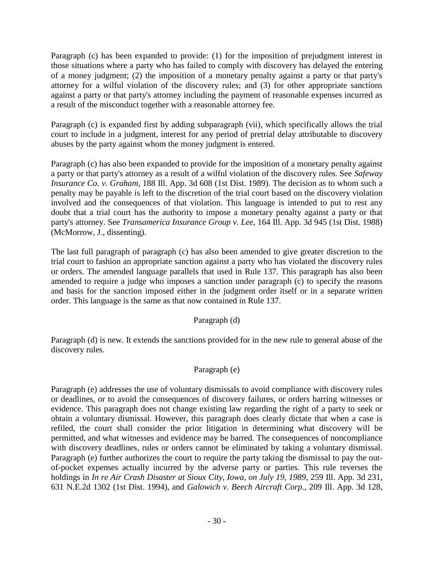Paragraph (c) has been expanded to provide: (1) for the imposition of prejudgment interest in those situations where a party who has failed to comply with discovery has delayed the entering of a money judgment; (2) the imposition of a monetary penalty against a party or that party's attorney for a wilful violation of the discovery rules; and (3) for other appropriate sanctions against a party or that party's attorney including the payment of reasonable expenses incurred as a result of the misconduct together with a reasonable attorney fee.

Paragraph (c) is expanded first by adding subparagraph (vii), which specifically allows the trial court to include in a judgment, interest for any period of pretrial delay attributable to discovery abuses by the party against whom the money judgment is entered.

Paragraph (c) has also been expanded to provide for the imposition of a monetary penalty against a party or that party's attorney as a result of a wilful violation of the discovery rules. See *Safeway Insurance Co. v. Graham*, 188 Ill. App. 3d 608 (1st Dist. 1989). The decision as to whom such a penalty may be payable is left to the discretion of the trial court based on the discovery violation involved and the consequences of that violation. This language is intended to put to rest any doubt that a trial court has the authority to impose a monetary penalty against a party or that party's attorney. See *Transamerica Insurance Group v. Lee*, 164 Ill. App. 3d 945 (1st Dist. 1988) (McMorrow, J., dissenting).

The last full paragraph of paragraph (c) has also been amended to give greater discretion to the trial court to fashion an appropriate sanction against a party who has violated the discovery rules or orders. The amended language parallels that used in Rule 137. This paragraph has also been amended to require a judge who imposes a sanction under paragraph (c) to specify the reasons and basis for the sanction imposed either in the judgment order itself or in a separate written order. This language is the same as that now contained in Rule 137.

# Paragraph (d)

Paragraph (d) is new. It extends the sanctions provided for in the new rule to general abuse of the discovery rules.

# Paragraph (e)

Paragraph (e) addresses the use of voluntary dismissals to avoid compliance with discovery rules or deadlines, or to avoid the consequences of discovery failures, or orders barring witnesses or evidence. This paragraph does not change existing law regarding the right of a party to seek or obtain a voluntary dismissal. However, this paragraph does clearly dictate that when a case is refiled, the court shall consider the prior litigation in determining what discovery will be permitted, and what witnesses and evidence may be barred. The consequences of noncompliance with discovery deadlines, rules or orders cannot be eliminated by taking a voluntary dismissal. Paragraph (e) further authorizes the court to require the party taking the dismissal to pay the outof-pocket expenses actually incurred by the adverse party or parties. This rule reverses the holdings in *In re Air Crash Disaster at Sioux City, Iowa, on July 19, 1989*, 259 Ill. App. 3d 231, 631 N.E.2d 1302 (1st Dist. 1994), and *Galowich v. Beech Aircraft Corp.*, 209 Ill. App. 3d 128,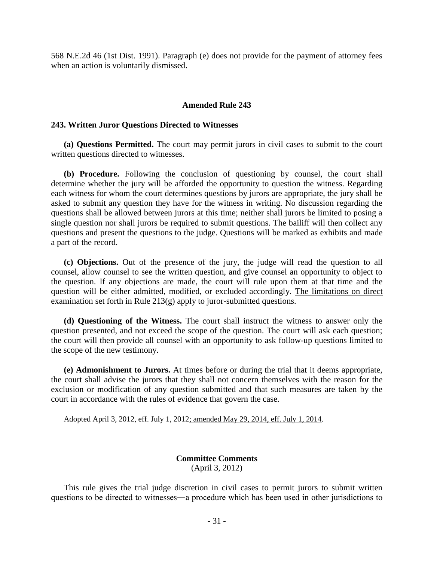568 N.E.2d 46 (1st Dist. 1991). Paragraph (e) does not provide for the payment of attorney fees when an action is voluntarily dismissed.

### **Amended Rule 243**

#### **243. Written Juror Questions Directed to Witnesses**

 **(a) Questions Permitted.** The court may permit jurors in civil cases to submit to the court written questions directed to witnesses.

 **(b) Procedure.** Following the conclusion of questioning by counsel, the court shall determine whether the jury will be afforded the opportunity to question the witness. Regarding each witness for whom the court determines questions by jurors are appropriate, the jury shall be asked to submit any question they have for the witness in writing. No discussion regarding the questions shall be allowed between jurors at this time; neither shall jurors be limited to posing a single question nor shall jurors be required to submit questions. The bailiff will then collect any questions and present the questions to the judge. Questions will be marked as exhibits and made a part of the record.

 **(c) Objections.** Out of the presence of the jury, the judge will read the question to all counsel, allow counsel to see the written question, and give counsel an opportunity to object to the question. If any objections are made, the court will rule upon them at that time and the question will be either admitted, modified, or excluded accordingly. The limitations on direct examination set forth in Rule 213(g) apply to juror-submitted questions.

 **(d) Questioning of the Witness.** The court shall instruct the witness to answer only the question presented, and not exceed the scope of the question. The court will ask each question; the court will then provide all counsel with an opportunity to ask follow-up questions limited to the scope of the new testimony.

 **(e) Admonishment to Jurors.** At times before or during the trial that it deems appropriate, the court shall advise the jurors that they shall not concern themselves with the reason for the exclusion or modification of any question submitted and that such measures are taken by the court in accordance with the rules of evidence that govern the case.

Adopted April 3, 2012, eff. July 1, 2012; amended May 29, 2014, eff. July 1, 2014.

### **Committee Comments** (April 3, 2012)

 This rule gives the trial judge discretion in civil cases to permit jurors to submit written questions to be directed to witnesses―a procedure which has been used in other jurisdictions to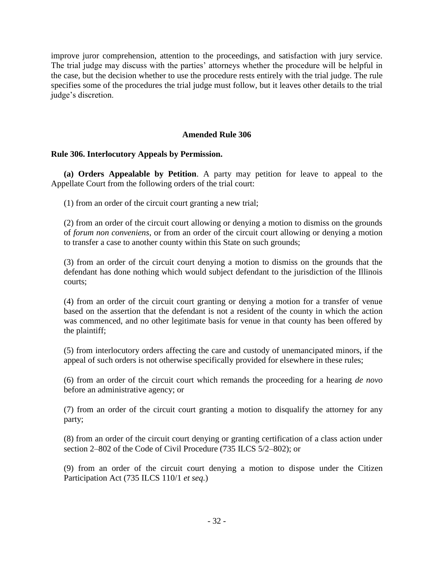improve juror comprehension, attention to the proceedings, and satisfaction with jury service. The trial judge may discuss with the parties' attorneys whether the procedure will be helpful in the case, but the decision whether to use the procedure rests entirely with the trial judge. The rule specifies some of the procedures the trial judge must follow, but it leaves other details to the trial judge's discretion.

# **Amended Rule 306**

# **Rule 306. Interlocutory Appeals by Permission.**

 **(a) Orders Appealable by Petition**. A party may petition for leave to appeal to the Appellate Court from the following orders of the trial court:

(1) from an order of the circuit court granting a new trial;

(2) from an order of the circuit court allowing or denying a motion to dismiss on the grounds of *forum non conveniens*, or from an order of the circuit court allowing or denying a motion to transfer a case to another county within this State on such grounds;

(3) from an order of the circuit court denying a motion to dismiss on the grounds that the defendant has done nothing which would subject defendant to the jurisdiction of the Illinois courts;

(4) from an order of the circuit court granting or denying a motion for a transfer of venue based on the assertion that the defendant is not a resident of the county in which the action was commenced, and no other legitimate basis for venue in that county has been offered by the plaintiff;

(5) from interlocutory orders affecting the care and custody of unemancipated minors, if the appeal of such orders is not otherwise specifically provided for elsewhere in these rules;

(6) from an order of the circuit court which remands the proceeding for a hearing *de novo* before an administrative agency; or

(7) from an order of the circuit court granting a motion to disqualify the attorney for any party;

(8) from an order of the circuit court denying or granting certification of a class action under section 2–802 of the Code of Civil Procedure (735 ILCS 5/2–802); or

(9) from an order of the circuit court denying a motion to dispose under the Citizen Participation Act (735 ILCS 110/1 *et seq.*)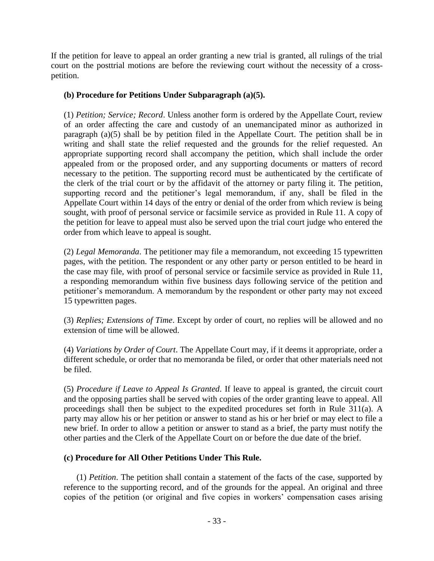If the petition for leave to appeal an order granting a new trial is granted, all rulings of the trial court on the posttrial motions are before the reviewing court without the necessity of a crosspetition.

# **(b) Procedure for Petitions Under Subparagraph (a)(5).**

(1) *Petition; Service; Record*. Unless another form is ordered by the Appellate Court, review of an order affecting the care and custody of an unemancipated minor as authorized in paragraph (a)(5) shall be by petition filed in the Appellate Court. The petition shall be in writing and shall state the relief requested and the grounds for the relief requested. An appropriate supporting record shall accompany the petition, which shall include the order appealed from or the proposed order, and any supporting documents or matters of record necessary to the petition. The supporting record must be authenticated by the certificate of the clerk of the trial court or by the affidavit of the attorney or party filing it. The petition, supporting record and the petitioner's legal memorandum, if any, shall be filed in the Appellate Court within 14 days of the entry or denial of the order from which review is being sought, with proof of personal service or facsimile service as provided in Rule 11. A copy of the petition for leave to appeal must also be served upon the trial court judge who entered the order from which leave to appeal is sought.

(2) *Legal Memoranda*. The petitioner may file a memorandum, not exceeding 15 typewritten pages, with the petition. The respondent or any other party or person entitled to be heard in the case may file, with proof of personal service or facsimile service as provided in Rule 11, a responding memorandum within five business days following service of the petition and petitioner's memorandum. A memorandum by the respondent or other party may not exceed 15 typewritten pages.

(3) *Replies; Extensions of Time*. Except by order of court, no replies will be allowed and no extension of time will be allowed.

(4) *Variations by Order of Court*. The Appellate Court may, if it deems it appropriate, order a different schedule, or order that no memoranda be filed, or order that other materials need not be filed.

(5) *Procedure if Leave to Appeal Is Granted*. If leave to appeal is granted, the circuit court and the opposing parties shall be served with copies of the order granting leave to appeal. All proceedings shall then be subject to the expedited procedures set forth in Rule 311(a). A party may allow his or her petition or answer to stand as his or her brief or may elect to file a new brief. In order to allow a petition or answer to stand as a brief, the party must notify the other parties and the Clerk of the Appellate Court on or before the due date of the brief.

# **(c) Procedure for All Other Petitions Under This Rule.**

 (1) *Petition*. The petition shall contain a statement of the facts of the case, supported by reference to the supporting record, and of the grounds for the appeal. An original and three copies of the petition (or original and five copies in workers' compensation cases arising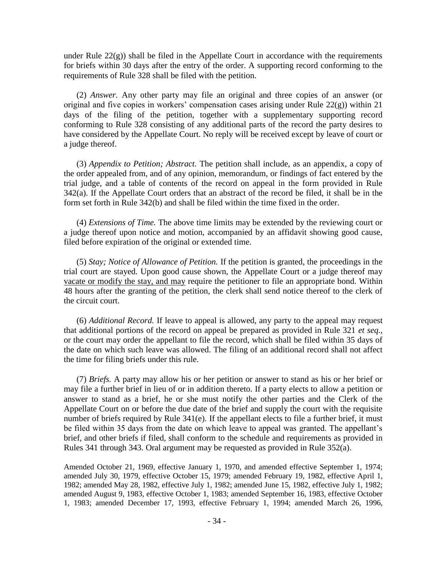under Rule  $22(g)$ ) shall be filed in the Appellate Court in accordance with the requirements for briefs within 30 days after the entry of the order. A supporting record conforming to the requirements of Rule 328 shall be filed with the petition.

 (2) *Answer.* Any other party may file an original and three copies of an answer (or original and five copies in workers' compensation cases arising under Rule 22(g)) within 21 days of the filing of the petition, together with a supplementary supporting record conforming to Rule 328 consisting of any additional parts of the record the party desires to have considered by the Appellate Court. No reply will be received except by leave of court or a judge thereof.

 (3) *Appendix to Petition; Abstract.* The petition shall include, as an appendix, a copy of the order appealed from, and of any opinion, memorandum, or findings of fact entered by the trial judge, and a table of contents of the record on appeal in the form provided in Rule 342(a). If the Appellate Court orders that an abstract of the record be filed, it shall be in the form set forth in Rule 342(b) and shall be filed within the time fixed in the order.

 (4) *Extensions of Time.* The above time limits may be extended by the reviewing court or a judge thereof upon notice and motion, accompanied by an affidavit showing good cause, filed before expiration of the original or extended time.

 (5) *Stay; Notice of Allowance of Petition.* If the petition is granted, the proceedings in the trial court are stayed. Upon good cause shown, the Appellate Court or a judge thereof may vacate or modify the stay, and may require the petitioner to file an appropriate bond. Within 48 hours after the granting of the petition, the clerk shall send notice thereof to the clerk of the circuit court.

 (6) *Additional Record.* If leave to appeal is allowed, any party to the appeal may request that additional portions of the record on appeal be prepared as provided in Rule 321 *et seq.*, or the court may order the appellant to file the record, which shall be filed within 35 days of the date on which such leave was allowed. The filing of an additional record shall not affect the time for filing briefs under this rule.

 (7) *Briefs.* A party may allow his or her petition or answer to stand as his or her brief or may file a further brief in lieu of or in addition thereto. If a party elects to allow a petition or answer to stand as a brief, he or she must notify the other parties and the Clerk of the Appellate Court on or before the due date of the brief and supply the court with the requisite number of briefs required by Rule 341(e). If the appellant elects to file a further brief, it must be filed within 35 days from the date on which leave to appeal was granted. The appellant's brief, and other briefs if filed, shall conform to the schedule and requirements as provided in Rules 341 through 343. Oral argument may be requested as provided in Rule 352(a).

Amended October 21, 1969, effective January 1, 1970, and amended effective September 1, 1974; amended July 30, 1979, effective October 15, 1979; amended February 19, 1982, effective April 1, 1982; amended May 28, 1982, effective July 1, 1982; amended June 15, 1982, effective July 1, 1982; amended August 9, 1983, effective October 1, 1983; amended September 16, 1983, effective October 1, 1983; amended December 17, 1993, effective February 1, 1994; amended March 26, 1996,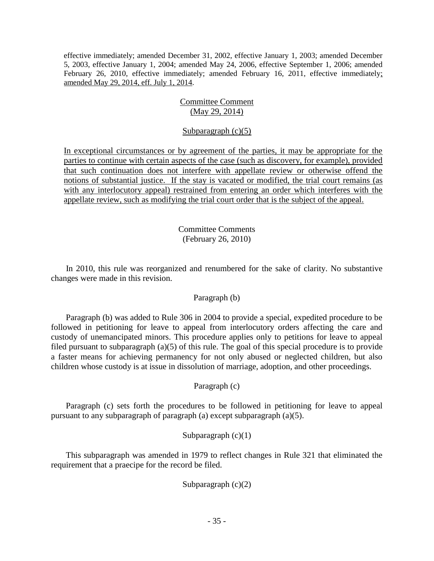effective immediately; amended December 31, 2002, effective January 1, 2003; amended December 5, 2003, effective January 1, 2004; amended May 24, 2006, effective September 1, 2006; amended February 26, 2010, effective immediately; amended February 16, 2011, effective immediately; amended May 29, 2014, eff. July 1, 2014.

# Committee Comment (May 29, 2014)

# Subparagraph  $(c)(5)$

In exceptional circumstances or by agreement of the parties, it may be appropriate for the parties to continue with certain aspects of the case (such as discovery, for example), provided that such continuation does not interfere with appellate review or otherwise offend the notions of substantial justice. If the stay is vacated or modified, the trial court remains (as with any interlocutory appeal) restrained from entering an order which interferes with the appellate review, such as modifying the trial court order that is the subject of the appeal.

### Committee Comments (February 26, 2010)

 In 2010, this rule was reorganized and renumbered for the sake of clarity. No substantive changes were made in this revision.

# Paragraph (b)

 Paragraph (b) was added to Rule 306 in 2004 to provide a special, expedited procedure to be followed in petitioning for leave to appeal from interlocutory orders affecting the care and custody of unemancipated minors. This procedure applies only to petitions for leave to appeal filed pursuant to subparagraph (a)(5) of this rule. The goal of this special procedure is to provide a faster means for achieving permanency for not only abused or neglected children, but also children whose custody is at issue in dissolution of marriage, adoption, and other proceedings.

Paragraph (c)

 Paragraph (c) sets forth the procedures to be followed in petitioning for leave to appeal pursuant to any subparagraph of paragraph (a) except subparagraph (a)(5).

# Subparagraph  $(c)(1)$

 This subparagraph was amended in 1979 to reflect changes in Rule 321 that eliminated the requirement that a praecipe for the record be filed.

Subparagraph  $(c)(2)$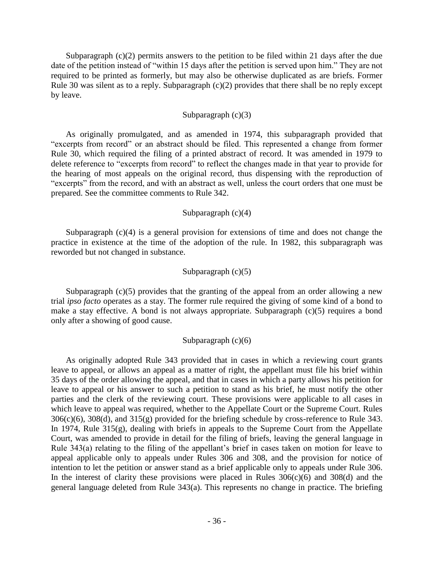Subparagraph  $(c)(2)$  permits answers to the petition to be filed within 21 days after the due date of the petition instead of "within 15 days after the petition is served upon him." They are not required to be printed as formerly, but may also be otherwise duplicated as are briefs. Former Rule 30 was silent as to a reply. Subparagraph (c)(2) provides that there shall be no reply except by leave.

### Subparagraph  $(c)(3)$

 As originally promulgated, and as amended in 1974, this subparagraph provided that "excerpts from record" or an abstract should be filed. This represented a change from former Rule 30, which required the filing of a printed abstract of record. It was amended in 1979 to delete reference to "excerpts from record" to reflect the changes made in that year to provide for the hearing of most appeals on the original record, thus dispensing with the reproduction of "excerpts" from the record, and with an abstract as well, unless the court orders that one must be prepared. See the committee comments to Rule 342.

#### Subparagraph (c)(4)

 Subparagraph (c)(4) is a general provision for extensions of time and does not change the practice in existence at the time of the adoption of the rule. In 1982, this subparagraph was reworded but not changed in substance.

#### Subparagraph  $(c)(5)$

Subparagraph  $(c)(5)$  provides that the granting of the appeal from an order allowing a new trial *ipso facto* operates as a stay. The former rule required the giving of some kind of a bond to make a stay effective. A bond is not always appropriate. Subparagraph (c)(5) requires a bond only after a showing of good cause.

### Subparagraph (c)(6)

 As originally adopted Rule 343 provided that in cases in which a reviewing court grants leave to appeal, or allows an appeal as a matter of right, the appellant must file his brief within 35 days of the order allowing the appeal, and that in cases in which a party allows his petition for leave to appeal or his answer to such a petition to stand as his brief, he must notify the other parties and the clerk of the reviewing court. These provisions were applicable to all cases in which leave to appeal was required, whether to the Appellate Court or the Supreme Court. Rules 306(c)(6), 308(d), and 315(g) provided for the briefing schedule by cross-reference to Rule 343. In 1974, Rule  $315(g)$ , dealing with briefs in appeals to the Supreme Court from the Appellate Court, was amended to provide in detail for the filing of briefs, leaving the general language in Rule 343(a) relating to the filing of the appellant's brief in cases taken on motion for leave to appeal applicable only to appeals under Rules 306 and 308, and the provision for notice of intention to let the petition or answer stand as a brief applicable only to appeals under Rule 306. In the interest of clarity these provisions were placed in Rules  $306(c)(6)$  and  $308(d)$  and the general language deleted from Rule 343(a). This represents no change in practice. The briefing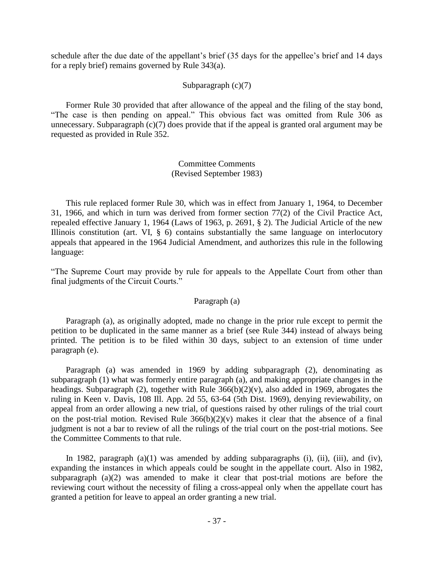schedule after the due date of the appellant's brief (35 days for the appellee's brief and 14 days for a reply brief) remains governed by Rule 343(a).

### Subparagraph  $(c)(7)$

 Former Rule 30 provided that after allowance of the appeal and the filing of the stay bond, "The case is then pending on appeal." This obvious fact was omitted from Rule 306 as unnecessary. Subparagraph (c)(7) does provide that if the appeal is granted oral argument may be requested as provided in Rule 352.

### Committee Comments (Revised September 1983)

 This rule replaced former Rule 30, which was in effect from January 1, 1964, to December 31, 1966, and which in turn was derived from former section 77(2) of the Civil Practice Act, repealed effective January 1, 1964 (Laws of 1963, p. 2691, § 2). The Judicial Article of the new Illinois constitution (art. VI, § 6) contains substantially the same language on interlocutory appeals that appeared in the 1964 Judicial Amendment, and authorizes this rule in the following language:

"The Supreme Court may provide by rule for appeals to the Appellate Court from other than final judgments of the Circuit Courts."

### Paragraph (a)

 Paragraph (a), as originally adopted, made no change in the prior rule except to permit the petition to be duplicated in the same manner as a brief (see Rule 344) instead of always being printed. The petition is to be filed within 30 days, subject to an extension of time under paragraph (e).

 Paragraph (a) was amended in 1969 by adding subparagraph (2), denominating as subparagraph (1) what was formerly entire paragraph (a), and making appropriate changes in the headings. Subparagraph (2), together with Rule 366(b)(2)(v), also added in 1969, abrogates the ruling in Keen v. Davis, 108 Ill. App. 2d 55, 63-64 (5th Dist. 1969), denying reviewability, on appeal from an order allowing a new trial, of questions raised by other rulings of the trial court on the post-trial motion. Revised Rule  $366(b)(2)(v)$  makes it clear that the absence of a final judgment is not a bar to review of all the rulings of the trial court on the post-trial motions. See the Committee Comments to that rule.

In 1982, paragraph  $(a)(1)$  was amended by adding subparagraphs  $(i)$ ,  $(ii)$ ,  $(iii)$ , and  $(iv)$ , expanding the instances in which appeals could be sought in the appellate court. Also in 1982, subparagraph (a)(2) was amended to make it clear that post-trial motions are before the reviewing court without the necessity of filing a cross-appeal only when the appellate court has granted a petition for leave to appeal an order granting a new trial.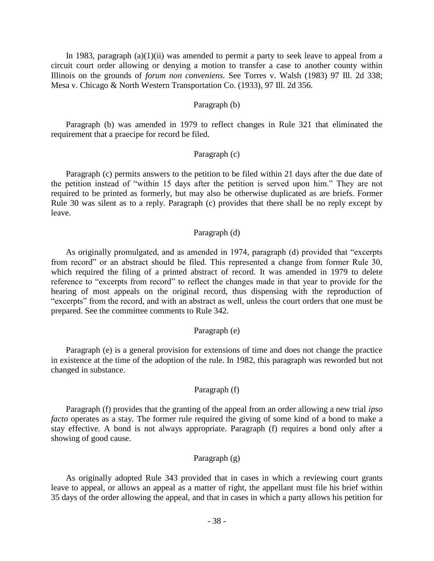In 1983, paragraph  $(a)(1)(ii)$  was amended to permit a party to seek leave to appeal from a circuit court order allowing or denying a motion to transfer a case to another county within Illinois on the grounds of *forum non conveniens.* See Torres v. Walsh (1983) 97 Ill. 2d 338; Mesa v. Chicago & North Western Transportation Co. (1933), 97 Ill. 2d 356.

#### Paragraph (b)

 Paragraph (b) was amended in 1979 to reflect changes in Rule 321 that eliminated the requirement that a praecipe for record be filed.

#### Paragraph (c)

 Paragraph (c) permits answers to the petition to be filed within 21 days after the due date of the petition instead of "within 15 days after the petition is served upon him." They are not required to be printed as formerly, but may also be otherwise duplicated as are briefs. Former Rule 30 was silent as to a reply. Paragraph (c) provides that there shall be no reply except by leave.

#### Paragraph (d)

 As originally promulgated, and as amended in 1974, paragraph (d) provided that "excerpts from record" or an abstract should be filed. This represented a change from former Rule 30, which required the filing of a printed abstract of record. It was amended in 1979 to delete reference to "excerpts from record" to reflect the changes made in that year to provide for the hearing of most appeals on the original record, thus dispensing with the reproduction of "excerpts" from the record, and with an abstract as well, unless the court orders that one must be prepared. See the committee comments to Rule 342.

#### Paragraph (e)

 Paragraph (e) is a general provision for extensions of time and does not change the practice in existence at the time of the adoption of the rule. In 1982, this paragraph was reworded but not changed in substance.

#### Paragraph (f)

 Paragraph (f) provides that the granting of the appeal from an order allowing a new trial *ipso facto* operates as a stay. The former rule required the giving of some kind of a bond to make a stay effective. A bond is not always appropriate. Paragraph (f) requires a bond only after a showing of good cause.

### Paragraph (g)

 As originally adopted Rule 343 provided that in cases in which a reviewing court grants leave to appeal, or allows an appeal as a matter of right, the appellant must file his brief within 35 days of the order allowing the appeal, and that in cases in which a party allows his petition for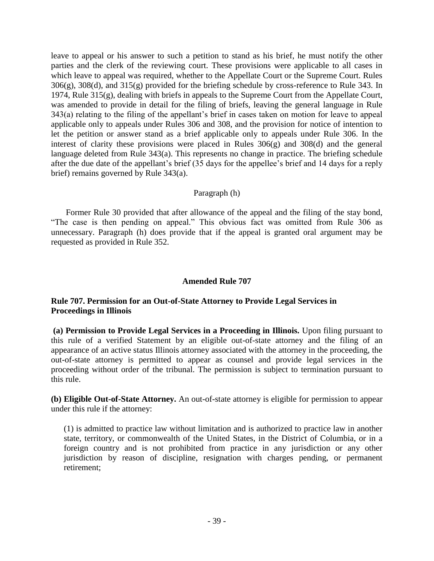leave to appeal or his answer to such a petition to stand as his brief, he must notify the other parties and the clerk of the reviewing court. These provisions were applicable to all cases in which leave to appeal was required, whether to the Appellate Court or the Supreme Court. Rules 306(g), 308(d), and 315(g) provided for the briefing schedule by cross-reference to Rule 343. In 1974, Rule 315(g), dealing with briefs in appeals to the Supreme Court from the Appellate Court, was amended to provide in detail for the filing of briefs, leaving the general language in Rule 343(a) relating to the filing of the appellant's brief in cases taken on motion for leave to appeal applicable only to appeals under Rules 306 and 308, and the provision for notice of intention to let the petition or answer stand as a brief applicable only to appeals under Rule 306. In the interest of clarity these provisions were placed in Rules 306(g) and 308(d) and the general language deleted from Rule 343(a). This represents no change in practice. The briefing schedule after the due date of the appellant's brief (35 days for the appellee's brief and 14 days for a reply brief) remains governed by Rule 343(a).

### Paragraph (h)

 Former Rule 30 provided that after allowance of the appeal and the filing of the stay bond, "The case is then pending on appeal." This obvious fact was omitted from Rule 306 as unnecessary. Paragraph (h) does provide that if the appeal is granted oral argument may be requested as provided in Rule 352.

## **Amended Rule 707**

### **Rule 707. Permission for an Out-of-State Attorney to Provide Legal Services in Proceedings in Illinois**

**(a) Permission to Provide Legal Services in a Proceeding in Illinois.** Upon filing pursuant to this rule of a verified Statement by an eligible out-of-state attorney and the filing of an appearance of an active status Illinois attorney associated with the attorney in the proceeding, the out-of-state attorney is permitted to appear as counsel and provide legal services in the proceeding without order of the tribunal. The permission is subject to termination pursuant to this rule.

**(b) Eligible Out-of-State Attorney.** An out-of-state attorney is eligible for permission to appear under this rule if the attorney:

(1) is admitted to practice law without limitation and is authorized to practice law in another state, territory, or commonwealth of the United States, in the District of Columbia, or in a foreign country and is not prohibited from practice in any jurisdiction or any other jurisdiction by reason of discipline, resignation with charges pending, or permanent retirement;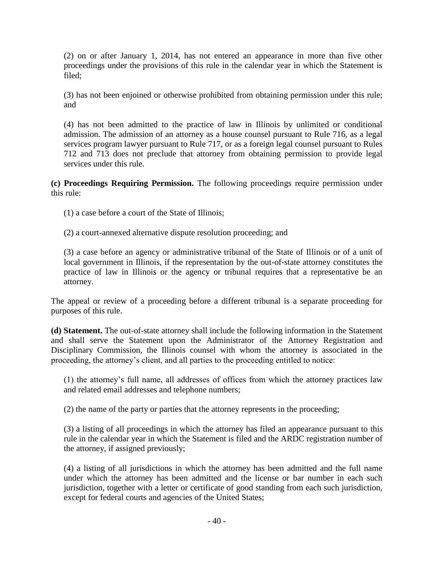(2) on or after January 1, 2014, has not entered an appearance in more than five other proceedings under the provisions of this rule in the calendar year in which the Statement is filed;

(3) has not been enjoined or otherwise prohibited from obtaining permission under this rule; and

(4) has not been admitted to the practice of law in Illinois by unlimited or conditional admission. The admission of an attorney as a house counsel pursuant to Rule 716, as a legal services program lawyer pursuant to Rule 717, or as a foreign legal counsel pursuant to Rules 712 and 713 does not preclude that attorney from obtaining permission to provide legal services under this rule.

**(c) Proceedings Requiring Permission.** The following proceedings require permission under this rule:

(1) a case before a court of the State of Illinois;

(2) a court-annexed alternative dispute resolution proceeding; and

(3) a case before an agency or administrative tribunal of the State of Illinois or of a unit of local government in Illinois, if the representation by the out-of-state attorney constitutes the practice of law in Illinois or the agency or tribunal requires that a representative be an attorney.

The appeal or review of a proceeding before a different tribunal is a separate proceeding for purposes of this rule.

**(d) Statement.** The out-of-state attorney shall include the following information in the Statement and shall serve the Statement upon the Administrator of the Attorney Registration and Disciplinary Commission, the Illinois counsel with whom the attorney is associated in the proceeding, the attorney's client, and all parties to the proceeding entitled to notice:

(1) the attorney's full name, all addresses of offices from which the attorney practices law and related email addresses and telephone numbers;

(2) the name of the party or parties that the attorney represents in the proceeding;

(3) a listing of all proceedings in which the attorney has filed an appearance pursuant to this rule in the calendar year in which the Statement is filed and the ARDC registration number of the attorney, if assigned previously;

(4) a listing of all jurisdictions in which the attorney has been admitted and the full name under which the attorney has been admitted and the license or bar number in each such jurisdiction, together with a letter or certificate of good standing from each such jurisdiction, except for federal courts and agencies of the United States;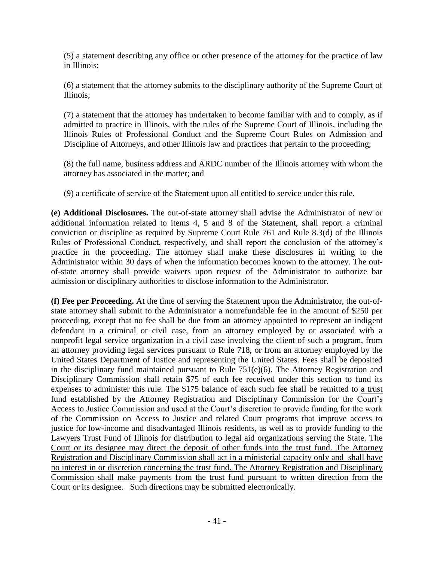(5) a statement describing any office or other presence of the attorney for the practice of law in Illinois;

(6) a statement that the attorney submits to the disciplinary authority of the Supreme Court of Illinois;

(7) a statement that the attorney has undertaken to become familiar with and to comply, as if admitted to practice in Illinois, with the rules of the Supreme Court of Illinois, including the Illinois Rules of Professional Conduct and the Supreme Court Rules on Admission and Discipline of Attorneys, and other Illinois law and practices that pertain to the proceeding;

(8) the full name, business address and ARDC number of the Illinois attorney with whom the attorney has associated in the matter; and

(9) a certificate of service of the Statement upon all entitled to service under this rule.

**(e) Additional Disclosures.** The out-of-state attorney shall advise the Administrator of new or additional information related to items 4, 5 and 8 of the Statement, shall report a criminal conviction or discipline as required by Supreme Court Rule 761 and Rule 8.3(d) of the Illinois Rules of Professional Conduct, respectively, and shall report the conclusion of the attorney's practice in the proceeding. The attorney shall make these disclosures in writing to the Administrator within 30 days of when the information becomes known to the attorney. The outof-state attorney shall provide waivers upon request of the Administrator to authorize bar admission or disciplinary authorities to disclose information to the Administrator.

**(f) Fee per Proceeding.** At the time of serving the Statement upon the Administrator, the out-ofstate attorney shall submit to the Administrator a nonrefundable fee in the amount of \$250 per proceeding, except that no fee shall be due from an attorney appointed to represent an indigent defendant in a criminal or civil case, from an attorney employed by or associated with a nonprofit legal service organization in a civil case involving the client of such a program, from an attorney providing legal services pursuant to Rule 718, or from an attorney employed by the United States Department of Justice and representing the United States. Fees shall be deposited in the disciplinary fund maintained pursuant to Rule 751(e)(6). The Attorney Registration and Disciplinary Commission shall retain \$75 of each fee received under this section to fund its expenses to administer this rule. The \$175 balance of each such fee shall be remitted to a trust fund established by the Attorney Registration and Disciplinary Commission for the Court's Access to Justice Commission and used at the Court's discretion to provide funding for the work of the Commission on Access to Justice and related Court programs that improve access to justice for low-income and disadvantaged Illinois residents, as well as to provide funding to the Lawyers Trust Fund of Illinois for distribution to legal aid organizations serving the State. The Court or its designee may direct the deposit of other funds into the trust fund. The Attorney Registration and Disciplinary Commission shall act in a ministerial capacity only and shall have no interest in or discretion concerning the trust fund. The Attorney Registration and Disciplinary Commission shall make payments from the trust fund pursuant to written direction from the Court or its designee. Such directions may be submitted electronically.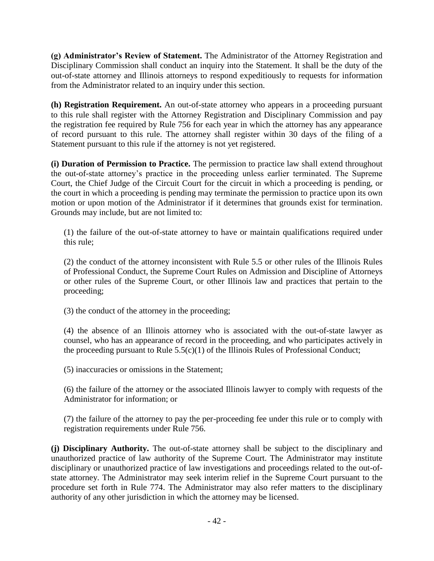**(g) Administrator's Review of Statement.** The Administrator of the Attorney Registration and Disciplinary Commission shall conduct an inquiry into the Statement. It shall be the duty of the out-of-state attorney and Illinois attorneys to respond expeditiously to requests for information from the Administrator related to an inquiry under this section.

**(h) Registration Requirement.** An out-of-state attorney who appears in a proceeding pursuant to this rule shall register with the Attorney Registration and Disciplinary Commission and pay the registration fee required by Rule 756 for each year in which the attorney has any appearance of record pursuant to this rule. The attorney shall register within 30 days of the filing of a Statement pursuant to this rule if the attorney is not yet registered.

**(i) Duration of Permission to Practice.** The permission to practice law shall extend throughout the out-of-state attorney's practice in the proceeding unless earlier terminated. The Supreme Court, the Chief Judge of the Circuit Court for the circuit in which a proceeding is pending, or the court in which a proceeding is pending may terminate the permission to practice upon its own motion or upon motion of the Administrator if it determines that grounds exist for termination. Grounds may include, but are not limited to:

(1) the failure of the out-of-state attorney to have or maintain qualifications required under this rule;

(2) the conduct of the attorney inconsistent with Rule 5.5 or other rules of the Illinois Rules of Professional Conduct, the Supreme Court Rules on Admission and Discipline of Attorneys or other rules of the Supreme Court, or other Illinois law and practices that pertain to the proceeding;

(3) the conduct of the attorney in the proceeding;

(4) the absence of an Illinois attorney who is associated with the out-of-state lawyer as counsel, who has an appearance of record in the proceeding, and who participates actively in the proceeding pursuant to Rule  $5.5(c)(1)$  of the Illinois Rules of Professional Conduct;

(5) inaccuracies or omissions in the Statement;

(6) the failure of the attorney or the associated Illinois lawyer to comply with requests of the Administrator for information; or

(7) the failure of the attorney to pay the per-proceeding fee under this rule or to comply with registration requirements under Rule 756.

**(j) Disciplinary Authority.** The out-of-state attorney shall be subject to the disciplinary and unauthorized practice of law authority of the Supreme Court. The Administrator may institute disciplinary or unauthorized practice of law investigations and proceedings related to the out-ofstate attorney. The Administrator may seek interim relief in the Supreme Court pursuant to the procedure set forth in Rule 774. The Administrator may also refer matters to the disciplinary authority of any other jurisdiction in which the attorney may be licensed.